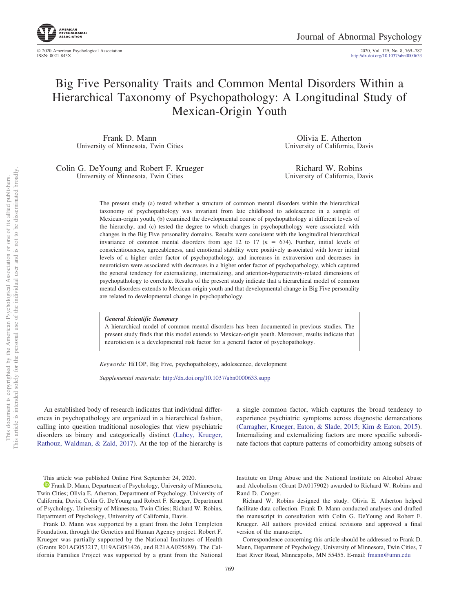© 2020 American Psychological Association 2020, Vol. 129, No. 8, 769 –787 http://dx.doi.org[/10.1037/abn0000633](http://dx.doi.org/10.1037/abn0000633)

# Big Five Personality Traits and Common Mental Disorders Within a Hierarchical Taxonomy of Psychopathology: A Longitudinal Study of Mexican-Origin Youth

Frank D. Mann University of Minnesota, Twin Cities

Olivia E. Atherton University of California, Davis

Colin G. DeYoung and Robert F. Krueger University of Minnesota, Twin Cities

Richard W. Robins University of California, Davis

The present study (a) tested whether a structure of common mental disorders within the hierarchical taxonomy of psychopathology was invariant from late childhood to adolescence in a sample of Mexican-origin youth, (b) examined the developmental course of psychopathology at different levels of the hierarchy, and (c) tested the degree to which changes in psychopathology were associated with changes in the Big Five personality domains. Results were consistent with the longitudinal hierarchical invariance of common mental disorders from age 12 to 17  $(n = 674)$ . Further, initial levels of conscientiousness, agreeableness, and emotional stability were positively associated with lower initial levels of a higher order factor of psychopathology, and increases in extraversion and decreases in neuroticism were associated with decreases in a higher order factor of psychopathology, which captured the general tendency for externalizing, internalizing, and attention-hyperactivity-related dimensions of psychopathology to correlate. Results of the present study indicate that a hierarchical model of common mental disorders extends to Mexican-origin youth and that developmental change in Big Five personality are related to developmental change in psychopathology.

#### *General Scientific Summary*

A hierarchical model of common mental disorders has been documented in previous studies. The present study finds that this model extends to Mexican-origin youth. Moreover, results indicate that neuroticism is a developmental risk factor for a general factor of psychopathology.

*Keywords:* HiTOP, Big Five, psychopathology, adolescence, development

*Supplemental materials:* http://dx.doi.org/10.1037/abn0000633.supp

An established body of research indicates that individual differences in psychopathology are organized in a hierarchical fashion, calling into question traditional nosologies that view psychiatric disorders as binary and categorically distinct [\(Lahey, Krueger,](#page-16-0) [Rathouz, Waldman, & Zald, 2017\)](#page-16-0). At the top of the hierarchy is a single common factor, which captures the broad tendency to experience psychiatric symptoms across diagnostic demarcations [\(Carragher, Krueger, Eaton, & Slade, 2015;](#page-15-0) [Kim & Eaton, 2015\)](#page-16-1). Internalizing and externalizing factors are more specific subordinate factors that capture patterns of comorbidity among subsets of

Institute on Drug Abuse and the National Institute on Alcohol Abuse and Alcoholism (Grant DA017902) awarded to Richard W. Robins and Rand D. Conger.

Correspondence concerning this article should be addressed to Frank D. Mann, Department of Psychology, University of Minnesota, Twin Cities, 7 East River Road, Minneapolis, MN 55455. E-mail: [fmann@umn.edu](mailto:fmann@umn.edu)

This article was published Online First September 24, 2020.

**D** [Frank D. Mann,](https://orcid.org/0000-0002-5450-0620) Department of Psychology, University of Minnesota, Twin Cities; Olivia E. Atherton, Department of Psychology, University of California, Davis; Colin G. DeYoung and Robert F. Krueger, Department of Psychology, University of Minnesota, Twin Cities; Richard W. Robins, Department of Psychology, University of California, Davis.

Frank D. Mann was supported by a grant from the John Templeton Foundation, through the Genetics and Human Agency project. Robert F. Krueger was partially supported by the National Institutes of Health (Grants R01AG053217, U19AG051426, and R21AA025689). The California Families Project was supported by a grant from the National

Richard W. Robins designed the study. Olivia E. Atherton helped facilitate data collection. Frank D. Mann conducted analyses and drafted the manuscript in consultation with Colin G. DeYoung and Robert F. Krueger. All authors provided critical revisions and approved a final version of the manuscript.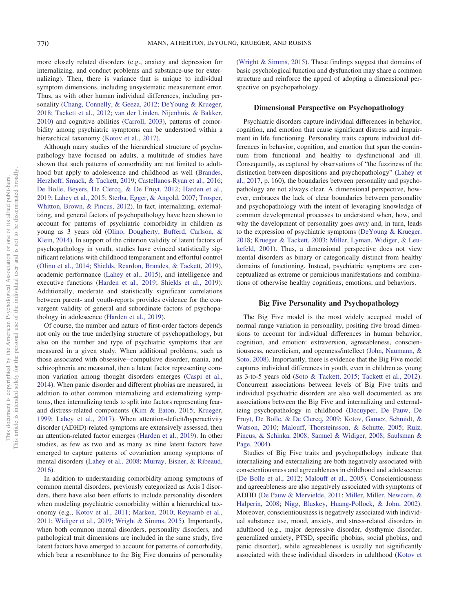more closely related disorders (e.g., anxiety and depression for internalizing, and conduct problems and substance-use for externalizing). Then, there is variance that is unique to individual symptom dimensions, including unsystematic measurement error. Thus, as with other human individual differences, including personality [\(Chang, Connelly, & Geeza, 2012;](#page-15-1) [DeYoung & Krueger,](#page-16-2) [2018;](#page-16-2) [Tackett et al., 2012;](#page-18-0) [van der Linden, Nijenhuis, & Bakker,](#page-18-1) [2010\)](#page-18-1) and cognitive abilities [\(Carroll, 2003\)](#page-15-2), patterns of comorbidity among psychiatric symptoms can be understood within a hierarchical taxonomy [\(Kotov et al., 2017\)](#page-16-3).

Although many studies of the hierarchical structure of psychopathology have focused on adults, a multitude of studies have shown that such patterns of comorbidity are not limited to adulthood but apply to adolescence and childhood as well [\(Brandes,](#page-15-3) [Herzhoff, Smack, & Tackett, 2019;](#page-15-3) [Castellanos-Ryan et al., 2016;](#page-15-4) [De Bolle, Beyers, De Clercq, & De Fruyt, 2012;](#page-15-5) [Harden et al.,](#page-16-4) [2019;](#page-16-4) [Lahey et al., 2015;](#page-16-5) [Sterba, Egger, & Angold, 2007;](#page-18-2) [Trosper,](#page-18-3) [Whitton, Brown, & Pincus, 2012\)](#page-18-3). In fact, internalizing, externalizing, and general factors of psychopathology have been shown to account for patterns of psychiatric comorbidity in children as young as 3 years old [\(Olino, Dougherty, Bufferd, Carlson, &](#page-17-0) [Klein, 2014\)](#page-17-0). In support of the criterion validity of latent factors of psychopathology in youth, studies have evinced statistically significant relations with childhood temperament and effortful control [\(Olino et al., 2014;](#page-17-0) [Shields, Reardon, Brandes, & Tackett, 2019\)](#page-18-4), academic performance [\(Lahey et al., 2015\)](#page-16-5), and intelligence and executive functions [\(Harden et al., 2019;](#page-16-4) [Shields et al., 2019\)](#page-18-4). Additionally, moderate and statistically significant correlations between parent- and youth-reports provides evidence for the convergent validity of general and subordinate factors of psychopathology in adolescence [\(Harden et al., 2019\)](#page-16-4).

Of course, the number and nature of first-order factors depends not only on the true underlying structure of psychopathology, but also on the number and type of psychiatric symptoms that are measured in a given study. When additional problems, such as those associated with obsessive– compulsive disorder, mania, and schizophrenia are measured, then a latent factor representing common variation among thought disorders emerges [\(Caspi et al.,](#page-15-6) [2014\)](#page-15-6). When panic disorder and different phobias are measured, in addition to other common internalizing and externalizing symptoms, then internalizing tends to split into factors representing fearand distress-related components [\(Kim & Eaton, 2015;](#page-16-1) [Krueger,](#page-16-6) [1999;](#page-16-6) [Lahey et al., 2017\)](#page-16-0). When attention-deficit/hyperactivity disorder (ADHD)-related symptoms are extensively assessed, then an attention-related factor emerges [\(Harden et al., 2019\)](#page-16-4). In other studies, as few as two and as many as nine latent factors have emerged to capture patterns of covariation among symptoms of mental disorders [\(Lahey et al., 2008;](#page-16-7) [Murray, Eisner, & Ribeaud,](#page-17-1) [2016\)](#page-17-1).

In addition to understanding comorbidity among symptoms of common mental disorders, previously categorized as Axis I disorders, there have also been efforts to include personality disorders when modeling psychiatric comorbidity within a hierarchical taxonomy (e.g., [Kotov et al., 2011;](#page-16-8) [Markon, 2010;](#page-17-2) [Røysamb et al.,](#page-17-3) [2011;](#page-17-3) [Widiger et al., 2019;](#page-18-5) [Wright & Simms, 2015\)](#page-18-6). Importantly, when both common mental disorders, personality disorders, and pathological trait dimensions are included in the same study, five latent factors have emerged to account for patterns of comorbidity, which bear a resemblance to the Big Five domains of personality

[\(Wright & Simms, 2015\)](#page-18-6). These findings suggest that domains of basic psychological function and dysfunction may share a common structure and reinforce the appeal of adopting a dimensional perspective on psychopathology.

# **Dimensional Perspective on Psychopathology**

Psychiatric disorders capture individual differences in behavior, cognition, and emotion that cause significant distress and impairment in life functioning. Personality traits capture individual differences in behavior, cognition, and emotion that span the continuum from functional and healthy to dysfunctional and ill. Consequently, as captured by observations of "the fuzziness of the distinction between dispositions and psychopathology" [\(Lahey et](#page-16-0) [al., 2017,](#page-16-0) p. 160), the boundaries between personality and psychopathology are not always clear. A dimensional perspective, however, embraces the lack of clear boundaries between personality and psychopathology with the intent of leveraging knowledge of common developmental processes to understand when, how, and why the development of personality goes awry and, in turn, leads to the expression of psychiatric symptoms [\(DeYoung & Krueger,](#page-16-2) [2018;](#page-16-2) [Krueger & Tackett, 2003;](#page-16-9) [Miller, Lyman, Widiger, & Leu](#page-17-4)[kefeld, 2001\)](#page-17-4). Thus, a dimensional perspective does not view mental disorders as binary or categorically distinct from healthy domains of functioning. Instead, psychiatric symptoms are conceptualized as extreme or pernicious manifestations and combinations of otherwise healthy cognitions, emotions, and behaviors.

#### **Big Five Personality and Psychopathology**

The Big Five model is the most widely accepted model of normal range variation in personality, positing five broad dimensions to account for individual differences in human behavior, cognition, and emotion: extraversion, agreeableness, conscientiousness, neuroticism, and openness/intellect [\(John, Naumann, &](#page-16-10) [Soto, 2008\)](#page-16-10). Importantly, there is evidence that the Big Five model captures individual differences in youth, even in children as young as 3-to-5 years old [\(Soto & Tackett, 2015;](#page-18-7) [Tackett et al., 2012\)](#page-18-0). Concurrent associations between levels of Big Five traits and individual psychiatric disorders are also well documented, as are associations between the Big Five and internalizing and externalizing psychopathology in childhood [\(Decuyper, De Pauw, De](#page-15-7) [Fruyt, De Bolle, & De Clercq, 2009;](#page-15-7) [Kotov, Gamez, Schmidt, &](#page-16-11) [Watson, 2010;](#page-16-11) [Malouff, Thorsteinsson, & Schutte, 2005;](#page-17-5) [Ruiz,](#page-17-6) [Pincus, & Schinka, 2008;](#page-17-6) [Samuel & Widiger, 2008;](#page-18-8) [Saulsman &](#page-18-9) [Page, 2004\)](#page-18-9).

Studies of Big Five traits and psychopathology indicate that internalizing and externalizing are both negatively associated with conscientiousness and agreeableness in childhood and adolescence [\(De Bolle et al., 2012;](#page-15-5) [Malouff et al., 2005\)](#page-17-5). Conscientiousness and agreeableness are also negatively associated with symptoms of ADHD [\(De Pauw & Mervielde, 2011;](#page-16-12) [Miller, Miller, Newcorn, &](#page-17-7) [Halperin, 2008;](#page-17-7) [Nigg, Blaskey, Huang-Pollock, & John, 2002\)](#page-17-8). Moreover, conscientiousness is negatively associated with individual substance use, mood, anxiety, and stress-related disorders in adulthood (e.g., major depressive disorder, dysthymic disorder, generalized anxiety, PTSD, specific phobias, social phobias, and panic disorder), while agreeableness is usually not significantly associated with these individual disorders in adulthood [\(Kotov et](#page-16-11)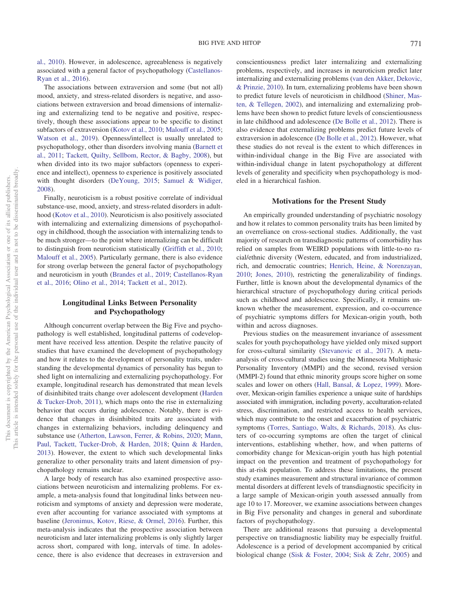[al., 2010\)](#page-16-11). However, in adolescence, agreeableness is negatively associated with a general factor of psychopathology [\(Castellanos-](#page-15-4)[Ryan et al., 2016\)](#page-15-4).

The associations between extraversion and some (but not all) mood, anxiety, and stress-related disorders is negative, and associations between extraversion and broad dimensions of internalizing and externalizing tend to be negative and positive, respectively, though these associations appear to be specific to distinct subfactors of extraversion [\(Kotov et al., 2010;](#page-16-11) [Malouff et al., 2005;](#page-17-5) [Watson et al., 2019\)](#page-18-10). Openness/intellect is usually unrelated to psychopathology, other than disorders involving mania [\(Barnett et](#page-15-8) [al., 2011;](#page-15-8) [Tackett, Quilty, Sellbom, Rector, & Bagby, 2008\)](#page-18-11), but when divided into its two major subfactors (openness to experience and intellect), openness to experience is positively associated with thought disorders [\(DeYoung, 2015;](#page-16-13) [Samuel & Widiger,](#page-18-8) [2008\)](#page-18-8).

Finally, neuroticism is a robust positive correlate of individual substance-use, mood, anxiety, and stress-related disorders in adulthood [\(Kotov et al., 2010\)](#page-16-11). Neuroticism is also positively associated with internalizing and externalizing dimensions of psychopathology in childhood, though the association with internalizing tends to be much stronger—to the point where internalizing can be difficult to distinguish from neuroticism statistically [\(Griffith et al., 2010;](#page-16-14) [Malouff et al., 2005\)](#page-17-5). Particularly germane, there is also evidence for strong overlap between the general factor of psychopathology and neuroticism in youth [\(Brandes et al., 2019;](#page-15-3) [Castellanos-Ryan](#page-15-4) [et al., 2016;](#page-15-4) [Olino et al., 2014;](#page-17-0) [Tackett et al., 2012\)](#page-18-0).

# **Longitudinal Links Between Personality and Psychopathology**

Although concurrent overlap between the Big Five and psychopathology is well established, longitudinal patterns of codevelopment have received less attention. Despite the relative paucity of studies that have examined the development of psychopathology and how it relates to the development of personality traits, understanding the developmental dynamics of personality has begun to shed light on internalizing and externalizing psychopathology. For example, longitudinal research has demonstrated that mean levels of disinhibited traits change over adolescent development [\(Harden](#page-16-15) [& Tucker-Drob, 2011\)](#page-16-15), which maps onto the rise in externalizing behavior that occurs during adolescence. Notably, there is evidence that changes in disinhibited traits are associated with changes in externalizing behaviors, including delinquency and substance use [\(Atherton, Lawson, Ferrer, & Robins, 2020;](#page-15-9) [Mann,](#page-17-9) [Paul, Tackett, Tucker-Drob, & Harden, 2018;](#page-17-9) [Quinn & Harden,](#page-17-10) [2013\)](#page-17-10). However, the extent to which such developmental links generalize to other personality traits and latent dimension of psychopathology remains unclear.

A large body of research has also examined prospective associations between neuroticism and internalizing problems. For example, a meta-analysis found that longitudinal links between neuroticism and symptoms of anxiety and depression were moderate, even after accounting for variance associated with symptoms at baseline [\(Jeronimus, Kotov, Riese, & Ormel, 2016\)](#page-16-16). Further, this meta-analysis indicates that the prospective association between neuroticism and later internalizing problems is only slightly larger across short, compared with long, intervals of time. In adolescence, there is also evidence that decreases in extraversion and conscientiousness predict later internalizing and externalizing problems, respectively, and increases in neuroticism predict later internalizing and externalizing problems [\(van den Akker, Dekovic,](#page-18-12) [& Prinzie, 2010\)](#page-18-12). In turn, externalizing problems have been shown to predict future levels of neuroticism in childhood [\(Shiner, Mas](#page-18-13)[ten, & Tellegen, 2002\)](#page-18-13), and internalizing and externalizing problems have been shown to predict future levels of conscientiousness in late childhood and adolescence [\(De Bolle et al., 2012\)](#page-15-5). There is also evidence that externalizing problems predict future levels of extraversion in adolescence [\(De Bolle et al., 2012\)](#page-15-5). However, what these studies do not reveal is the extent to which differences in within-individual change in the Big Five are associated with within-individual change in latent psychopathology at different levels of generality and specificity when psychopathology is modeled in a hierarchical fashion.

#### **Motivations for the Present Study**

An empirically grounded understanding of psychiatric nosology and how it relates to common personality traits has been limited by an overreliance on cross-sectional studies. Additionally, the vast majority of research on transdiagnostic patterns of comorbidity has relied on samples from WEIRD populations with little-to-no racial/ethnic diversity (Western, educated, and from industrialized, rich, and democratic countries; [Henrich, Heine, & Norenzayan,](#page-16-17) [2010;](#page-16-17) [Jones, 2010\)](#page-16-18), restricting the generalizability of findings. Further, little is known about the developmental dynamics of the hierarchical structure of psychopathology during critical periods such as childhood and adolescence. Specifically, it remains unknown whether the measurement, expression, and co-occurrence of psychiatric symptoms differs for Mexican-origin youth, both within and across diagnoses.

Previous studies on the measurement invariance of assessment scales for youth psychopathology have yielded only mixed support for cross-cultural similarity [\(Stevanovic et al., 2017\)](#page-18-14). A metaanalysis of cross-cultural studies using the Minnesota Multiphasic Personality Inventory (MMPI) and the second, revised version (MMPI-2) found that ethnic minority groups score higher on some scales and lower on others [\(Hall, Bansal, & Lopez, 1999\)](#page-16-19). Moreover, Mexican-origin families experience a unique suite of hardships associated with immigration, including poverty, acculturation-related stress, discrimination, and restricted access to health services, which may contribute to the onset and exacerbation of psychiatric symptoms [\(Torres, Santiago, Walts, & Richards, 2018\)](#page-18-15). As clusters of co-occurring symptoms are often the target of clinical interventions, establishing whether, how, and when patterns of comorbidity change for Mexican-origin youth has high potential impact on the prevention and treatment of psychopathology for this at-risk population. To address these limitations, the present study examines measurement and structural invariance of common mental disorders at different levels of transdiagnostic specificity in a large sample of Mexican-origin youth assessed annually from age 10 to 17. Moreover, we examine associations between changes in Big Five personality and changes in general and subordinate factors of psychopathology.

There are additional reasons that pursuing a developmental perspective on transdiagnostic liability may be especially fruitful. Adolescence is a period of development accompanied by critical biological change [\(Sisk & Foster, 2004;](#page-18-16) [Sisk & Zehr, 2005\)](#page-18-17) and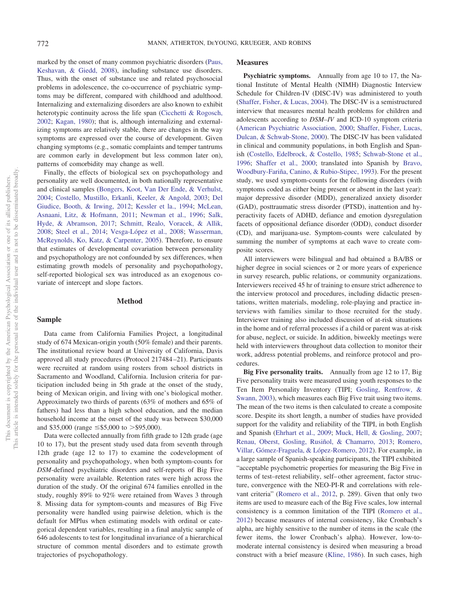marked by the onset of many common psychiatric disorders [\(Paus,](#page-17-11) [Keshavan, & Giedd, 2008\)](#page-17-11), including substance use disorders. Thus, with the onset of substance use and related psychosocial problems in adolescence, the co-occurrence of psychiatric symptoms may be different, compared with childhood and adulthood. Internalizing and externalizing disorders are also known to exhibit heterotypic continuity across the life span [\(Cicchetti & Rogosch,](#page-15-10) [2002;](#page-15-10) [Kagan, 1980\)](#page-16-20); that is, although internalizing and externalizing symptoms are relatively stable, there are changes in the way symptoms are expressed over the course of development. Given changing symptoms (e.g., somatic complaints and temper tantrums are common early in development but less common later on), patterns of comorbidity may change as well.

Finally, the effects of biological sex on psychopathology and personality are well documented, in both nationally representative and clinical samples [\(Bongers, Koot, Van Der Ende, & Verhulst,](#page-15-11) [2004;](#page-15-11) [Costello, Mustillo, Erkanli, Keeler, & Angold, 2003;](#page-15-12) [Del](#page-15-13) [Giudice, Booth, & Irwing, 2012;](#page-15-13) [Kessler et la., 1994;](#page-16-21) [McLean,](#page-17-12) [Asnaani, Litz, & Hofmann, 2011;](#page-17-12) [Newman et al., 1996;](#page-17-13) [Salk,](#page-17-14) [Hyde, & Abramson, 2017;](#page-17-14) [Schmitt, Realo, Voracek, & Allik,](#page-18-18) [2008;](#page-18-18) [Steel et al., 2014;](#page-18-19) [Vesga-López et al., 2008;](#page-18-20) [Wasserman,](#page-18-21) [McReynolds, Ko, Katz, & Carpenter, 2005\)](#page-18-21). Therefore, to ensure that estimates of developmental covariation between personality and psychopathology are not confounded by sex differences, when estimating growth models of personality and psychopathology, self-reported biological sex was introduced as an exogenous covariate of intercept and slope factors.

# **Method**

# **Sample**

Data came from California Families Project, a longitudinal study of 674 Mexican-origin youth (50% female) and their parents. The institutional review board at University of California, Davis approved all study procedures (Protocol 217484 –21). Participants were recruited at random using rosters from school districts in Sacramento and Woodland, California. Inclusion criteria for participation included being in 5th grade at the onset of the study, being of Mexican origin, and living with one's biological mother. Approximately two thirds of parents (63% of mothers and 65% of fathers) had less than a high school education, and the median household income at the onset of the study was between \$30,000 and \$35,000 (range  $\leq$ \$5,000 to  $>$ \$95,000).

Data were collected annually from fifth grade to 12th grade (age 10 to 17), but the present study used data from seventh through 12th grade (age 12 to 17) to examine the codevelopment of personality and psychopathology, when both symptom-counts for *DSM*-defined psychiatric disorders and self-reports of Big Five personality were available. Retention rates were high across the duration of the study. Of the original 674 families enrolled in the study, roughly 89% to 92% were retained from Waves 3 through 8. Missing data for symptom-counts and measures of Big Five personality were handled using pairwise deletion, which is the default for MPlus when estimating models with ordinal or categorical dependent variables, resulting in a final analytic sample of 646 adolescents to test for longitudinal invariance of a hierarchical structure of common mental disorders and to estimate growth trajectories of psychopathology.

# **Measures**

**Psychiatric symptoms.** Annually from age 10 to 17, the National Institute of Mental Health (NIMH) Diagnostic Interview Schedule for Children-IV (DISC-IV) was administered to youth [\(Shaffer, Fisher, & Lucas, 2004\)](#page-18-22). The DISC-IV is a semistructured interview that measures mental health problems for children and adolescents according to *DSM–IV* and ICD-10 symptom criteria [\(American Psychiatric Association, 2000;](#page-15-14) [Shaffer, Fisher, Lucas,](#page-18-23) [Dulcan, & Schwab-Stone, 2000\)](#page-18-23). The DISC-IV has been validated in clinical and community populations, in both English and Spanish [\(Costello, Edelbrock, & Costello, 1985;](#page-15-15) [Schwab-Stone et al.,](#page-18-24) [1996;](#page-18-24) [Shaffer et al., 2000;](#page-18-23) translated into Spanish by [Bravo,](#page-15-16) [Woodbury-Fariña, Canino, & Rubio-Stipec, 1993\)](#page-15-16). For the present study, we used symptom-counts for the following disorders (with symptoms coded as either being present or absent in the last year): major depressive disorder (MDD), generalized anxiety disorder (GAD), posttraumatic stress disorder (PTSD), inattention and hyperactivity facets of ADHD, defiance and emotion dysregulation facets of oppositional defiance disorder (ODD), conduct disorder (CD), and marijuana-use. Symptom-counts were calculated by summing the number of symptoms at each wave to create composite scores.

All interviewers were bilingual and had obtained a BA/BS or higher degree in social sciences or 2 or more years of experience in survey research, public relations, or community organizations. Interviewers received 45 hr of training to ensure strict adherence to the interview protocol and procedures, including didactic presentations, written materials, modeling, role-playing and practice interviews with families similar to those recruited for the study. Interviewer training also included discussion of at-risk situations in the home and of referral processes if a child or parent was at-risk for abuse, neglect, or suicide. In addition, biweekly meetings were held with interviewers throughout data collection to monitor their work, address potential problems, and reinforce protocol and procedures.

**Big Five personality traits.** Annually from age 12 to 17, Big Five personality traits were measured using youth responses to the Ten Item Personality Inventory (TIPI; [Gosling, Rentfrow, &](#page-16-22) [Swann, 2003\)](#page-16-22), which measures each Big Five trait using two items. The mean of the two items is then calculated to create a composite score. Despite its short length, a number of studies have provided support for the validity and reliability of the TIPI, in both English and Spanish [\(Ehrhart et al., 2009;](#page-16-23) [Muck, Hell, & Gosling, 2007;](#page-17-15) [Renau, Oberst, Gosling, Rusiñol, & Chamarro, 2013;](#page-17-16) [Romero,](#page-17-17) [Villar, Gómez-Fraguela, & López-Romero, 2012\)](#page-17-17). For example, in a large sample of Spanish-speaking participants, the TIPI exhibited "acceptable psychometric properties for measuring the Big Five in terms of test–retest reliability, self– other agreement, factor structure, convergence with the NEO-PI-R and correlations with relevant criteria" [\(Romero et al., 2012,](#page-17-17) p. 289). Given that only two items are used to measure each of the Big Five scales, low internal consistency is a common limitation of the TIPI [\(Romero et al.,](#page-17-17) [2012\)](#page-17-17) because measures of internal consistency, like Cronbach's alpha, are highly sensitive to the number of items in the scale (the fewer items, the lower Cronbach's alpha). However, low-tomoderate internal consistency is desired when measuring a broad construct with a brief measure [\(Kline, 1986\)](#page-16-24). In such cases, high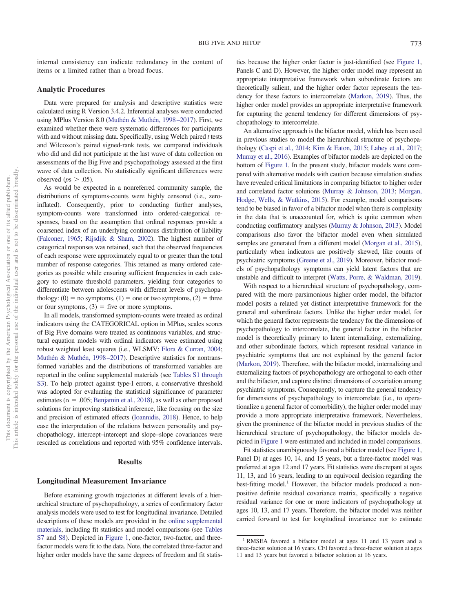internal consistency can indicate redundancy in the content of items or a limited rather than a broad focus.

# **Analytic Procedures**

Data were prepared for analysis and descriptive statistics were calculated using R Version 3.4.2. Inferential analyses were conducted using MPlus Version 8.0 [\(Muthén & Muthén, 1998 –2017\)](#page-17-18). First, we examined whether there were systematic differences for participants with and without missing data. Specifically, using Welch paired *t* tests and Wilcoxon's paired signed-rank tests, we compared individuals who did and did not participate at the last wave of data collection on assessments of the Big Five and psychopathology assessed at the first wave of data collection. No statistically significant differences were observed ( $ps$   $> .05$ ).

As would be expected in a nonreferred community sample, the distributions of symptoms-counts were highly censored (i.e., zeroinflated). Consequently, prior to conducting further analyses, symptom-counts were transformed into ordered-categorical responses, based on the assumption that ordinal responses provide a coarsened index of an underlying continuous distribution of liability [\(Falconer, 1965;](#page-16-25) [Rijsdijk & Sham, 2002\)](#page-17-19). The highest number of categorical responses was retained, such that the observed frequencies of each response were approximately equal to or greater than the total number of response categories. This retained as many ordered categories as possible while ensuring sufficient frequencies in each category to estimate threshold parameters, yielding four categories to differentiate between adolescents with different levels of psychopathology:  $(0)$  = no symptoms,  $(1)$  = one or two symptoms,  $(2)$  = three or four symptoms,  $(3)$  = five or more symptoms.

In all models, transformed symptom-counts were treated as ordinal indicators using the CATEGORICAL option in MPlus, scales scores of Big Five domains were treated as continuous variables, and structural equation models with ordinal indicators were estimated using robust weighted least squares (i.e., WLSMV; [Flora & Curran, 2004;](#page-16-26) [Muthén & Muthén, 1998 –2017\)](#page-17-18). Descriptive statistics for nontransformed variables and the distributions of transformed variables are reported in the online supplemental materials (see [Tables S1 through](http://dx.doi.org/10.1037/abn0000633.supp) [S3\)](http://dx.doi.org/10.1037/abn0000633.supp). To help protect against type-I errors, a conservative threshold was adopted for evaluating the statistical significance of parameter estimates ( $\alpha$  = .005; [Benjamin et al., 2018\)](#page-15-17), as well as other proposed solutions for improving statistical inference, like focusing on the size and precision of estimated effects [\(Ioannidis, 2018\)](#page-16-27). Hence, to help ease the interpretation of the relations between personality and psychopathology, intercept–intercept and slope–slope covariances were rescaled as correlations and reported with 95% confidence intervals.

# **Results**

# **Longitudinal Measurement Invariance**

Before examining growth trajectories at different levels of a hierarchical structure of psychopathology, a series of confirmatory factor analysis models were used to test for longitudinal invariance. Detailed descriptions of these models are provided in the [online supplemental](http://dx.doi.org/10.1037/abn0000633.supp) [materials,](http://dx.doi.org/10.1037/abn0000633.supp) including fit statistics and model comparisons (see [Tables](http://dx.doi.org/10.1037/abn0000633.supp) [S7](http://dx.doi.org/10.1037/abn0000633.supp) and [S8\)](http://dx.doi.org/10.1037/abn0000633.supp). Depicted in [Figure 1,](#page-5-0) one-factor, two-factor, and threefactor models were fit to the data. Note, the correlated three-factor and higher order models have the same degrees of freedom and fit statistics because the higher order factor is just-identified (see [Figure 1,](#page-5-0) Panels C and D). However, the higher order model may represent an appropriate interpretative framework when subordinate factors are theoretically salient, and the higher order factor represents the tendency for these factors to intercorrelate [\(Markon, 2019\)](#page-17-20). Thus, the higher order model provides an appropriate interpretative framework for capturing the general tendency for different dimensions of psychopathology to intercorrelate.

An alternative approach is the bifactor model, which has been used in previous studies to model the hierarchical structure of psychopathology [\(Caspi et al., 2014;](#page-15-6) [Kim & Eaton, 2015;](#page-16-1) [Lahey et al., 2017;](#page-16-0) [Murray et al., 2016\)](#page-17-1). Examples of bifactor models are depicted on the bottom of [Figure 1.](#page-5-0) In the present study, bifactor models were compared with alternative models with caution because simulation studies have revealed critical limitations in comparing bifactor to higher order and correlated factor solutions [\(Murray & Johnson, 2013;](#page-17-21) [Morgan,](#page-17-22) [Hodge, Wells, & Watkins, 2015\)](#page-17-22). For example, model comparisons tend to be biased in favor of a bifactor model when there is complexity in the data that is unaccounted for, which is quite common when conducting confirmatory analyses [\(Murray & Johnson, 2013\)](#page-17-21). Model comparisons also favor the bifactor model even when simulated samples are generated from a different model [\(Morgan et al., 2015\)](#page-17-22), particularly when indicators are positively skewed, like counts of psychiatric symptoms [\(Greene et al., 2019\)](#page-16-28). Moreover, bifactor models of psychopathology symptoms can yield latent factors that are unstable and difficult to interpret [\(Watts, Porre, & Waldman, 2019\)](#page-18-25).

With respect to a hierarchical structure of psychopathology, compared with the more parsimonious higher order model, the bifactor model posits a related yet distinct interpretative framework for the general and subordinate factors. Unlike the higher order model, for which the general factor represents the tendency for the dimensions of psychopathology to intercorrelate, the general factor in the bifactor model is theoretically primary to latent internalizing, externalizing, and other subordinate factors, which represent residual variance in psychiatric symptoms that are not explained by the general factor [\(Markon, 2019\)](#page-17-20). Therefore, with the bifactor model, internalizing and externalizing factors of psychopathology are orthogonal to each other and the bifactor, and capture distinct dimensions of covariation among psychiatric symptoms. Consequently, to capture the general tendency for dimensions of psychopathology to intercorrelate (i.e., to operationalize a general factor of comorbidity), the higher order model may provide a more appropriate interpretative framework. Nevertheless, given the prominence of the bifactor model in previous studies of the hierarchical structure of psychopathology, the bifactor models depicted in [Figure 1](#page-5-0) were estimated and included in model comparisons.

Fit statistics unambiguously favored a bifactor model (see [Figure 1,](#page-5-0) Panel D) at ages 10, 14, and 15 years, but a three-factor model was preferred at ages 12 and 17 years. Fit statistics were discrepant at ages 11, 13, and 16 years, leading to an equivocal decision regarding the best-fitting model.<sup>1</sup> However, the bifactor models produced a nonpositive definite residual covariance matrix, specifically a negative residual variance for one or more indicators of psychopathology at ages 10, 13, and 17 years. Therefore, the bifactor model was neither carried forward to test for longitudinal invariance nor to estimate

<sup>&</sup>lt;sup>1</sup> RMSEA favored a bifactor model at ages 11 and 13 years and a three-factor solution at 16 years. CFI favored a three-factor solution at ages 11 and 13 years but favored a bifactor solution at 16 years.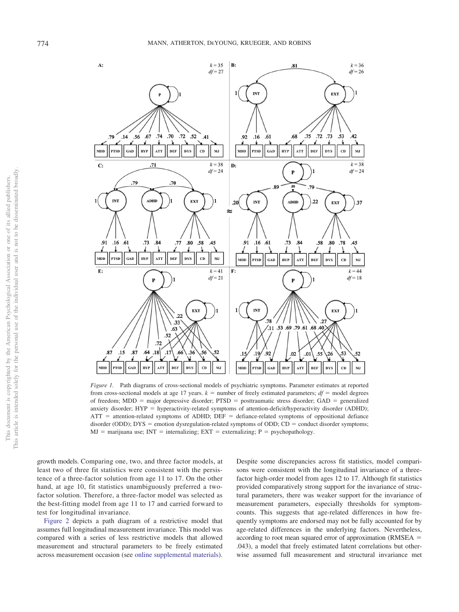

<span id="page-5-0"></span>*Figure 1.* Path diagrams of cross-sectional models of psychiatric symptoms. Parameter estimates at reported from cross-sectional models at age 17 years.  $k =$  number of freely estimated parameters;  $df =$  model degrees of freedom; MDD = major depressive disorder; PTSD = posttraumatic stress disorder; GAD = generalized anxiety disorder; HYP = hyperactivity-related symptoms of attention-deficit/hyperactivity disorder (ADHD);  $ATT =$  attention-related symptoms of ADHD; DEF = defiance-related symptoms of oppositional defiance disorder (ODD); DYS = emotion dysregulation-related symptoms of ODD; CD = conduct disorder symptoms;  $MJ =$  marijuana use;  $INT =$  internalizing;  $EXT =$  externalizing;  $P =$  psychopathology.

growth models. Comparing one, two, and three factor models, at least two of three fit statistics were consistent with the persistence of a three-factor solution from age 11 to 17. On the other hand, at age 10, fit statistics unambiguously preferred a twofactor solution. Therefore, a three-factor model was selected as the best-fitting model from age 11 to 17 and carried forward to test for longitudinal invariance.

[Figure 2](#page-6-0) depicts a path diagram of a restrictive model that assumes full longitudinal measurement invariance. This model was compared with a series of less restrictive models that allowed measurement and structural parameters to be freely estimated across measurement occasion (see [online supplemental materials\)](http://dx.doi.org/10.1037/abn0000633.supp). Despite some discrepancies across fit statistics, model comparisons were consistent with the longitudinal invariance of a threefactor high-order model from ages 12 to 17. Although fit statistics provided comparatively strong support for the invariance of structural parameters, there was weaker support for the invariance of measurement parameters, especially thresholds for symptomcounts. This suggests that age-related differences in how frequently symptoms are endorsed may not be fully accounted for by age-related differences in the underlying factors. Nevertheless, according to root mean squared error of approximation (RMSEA = .043), a model that freely estimated latent correlations but otherwise assumed full measurement and structural invariance met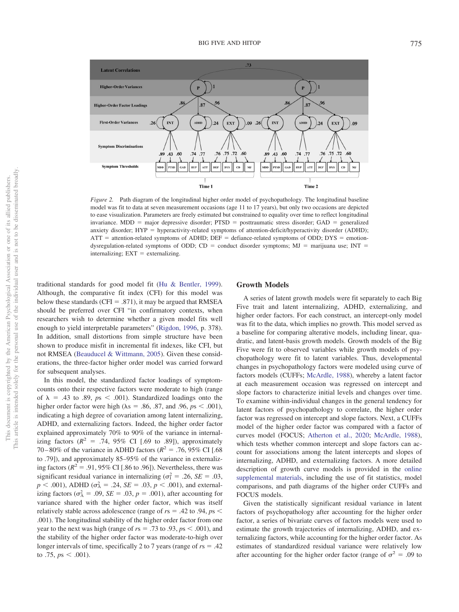

<span id="page-6-0"></span>*Figure 2.* Path diagram of the longitudinal higher order model of psychopathology. The longitudinal baseline model was fit to data at seven measurement occasions (age 11 to 17 years), but only two occasions are depicted to ease visualization. Parameters are freely estimated but constrained to equality over time to reflect longitudinal invariance. MDD = major depressive disorder;  $PTSD$  = posttraumatic stress disorder;  $GAD$  = generalized anxiety disorder; HYP = hyperactivity-related symptoms of attention-deficit/hyperactivity disorder (ADHD);  $ATT =$  attention-related symptoms of ADHD; DEF = defiance-related symptoms of ODD; DYS = emotiondysregulation-related symptoms of ODD;  $CD =$  conduct disorder symptoms;  $MJ =$  marijuana use; INT =  $internality; EXT = externalizing.$ 

traditional standards for good model fit [\(Hu & Bentler, 1999\)](#page-16-29). Although, the comparative fit index (CFI) for this model was below these standards ( $CFI = .871$ ), it may be argued that RMSEA should be preferred over CFI "in confirmatory contexts, when researchers wish to determine whether a given model fits well enough to yield interpretable parameters" [\(Rigdon, 1996,](#page-17-23) p. 378). In addition, small distortions from simple structure have been shown to produce misfit in incremental fit indexes, like CFI, but not RMSEA [\(Beauducel & Wittmann, 2005\)](#page-15-18). Given these considerations, the three-factor higher order model was carried forward for subsequent analyses.

In this model, the standardized factor loadings of symptomcounts onto their respective factors were moderate to high (range of  $\lambda$  = .43 to .89,  $ps < .001$ ). Standardized loadings onto the higher order factor were high ( $\lambda$ s = .86, .87, and .96,  $ps < .001$ ), indicating a high degree of covariation among latent internalizing, ADHD, and externalizing factors. Indeed, the higher order factor explained approximately 70% to 90% of the variance in internalizing factors  $(R^2 = .74, 95\% \text{ CI}$  [.69 to .89]), approximately 70–80% of the variance in ADHD factors ( $R^2 = .76$ , 95% CI [.68] to .79]), and approximately 85–95% of the variance in externalizing factors ( $R^2 = .91,95\%$  CI [.86 to .96]). Nevertheless, there was significant residual variance in internalizing ( $\sigma_1^2 = .26$ , *SE* = .03,  $p < .001$ ), ADHD ( $\sigma_A^2 = .24$ ,  $SE = .03$ ,  $p < .001$ ), and externalizing factors ( $\sigma_A^2 = .09$ ,  $SE = .03$ ,  $p = .001$ ), after accounting for variance shared with the higher order factor, which was itself relatively stable across adolescence (range of  $rs = .42$  to  $.94, ps <$ .001). The longitudinal stability of the higher order factor from one year to the next was high (range of  $rs = .73$  to  $.93$ ,  $ps < .001$ ), and the stability of the higher order factor was moderate-to-high over longer intervals of time, specifically 2 to 7 years (range of  $rs = .42$ ) to .75,  $ps < .001$ ).

# **Growth Models**

A series of latent growth models were fit separately to each Big Five trait and latent internalizing, ADHD, externalizing, and higher order factors. For each construct, an intercept-only model was fit to the data, which implies no growth. This model served as a baseline for comparing alterative models, including linear, quadratic, and latent-basis growth models. Growth models of the Big Five were fit to observed variables while growth models of psychopathology were fit to latent variables. Thus, developmental changes in psychopathology factors were modeled using curve of factors models (CUFFs; [McArdle, 1988\)](#page-17-24), whereby a latent factor at each measurement occasion was regressed on intercept and slope factors to characterize initial levels and changes over time. To examine within-individual changes in the general tendency for latent factors of psychopathology to correlate, the higher order factor was regressed on intercept and slope factors. Next, a CUFFs model of the higher order factor was compared with a factor of curves model (FOCUS; [Atherton et al., 2020;](#page-15-9) [McArdle, 1988\)](#page-17-24), which tests whether common intercept and slope factors can account for associations among the latent intercepts and slopes of internalizing, ADHD, and externalizing factors. A more detailed description of growth curve models is provided in the [online](http://dx.doi.org/10.1037/abn0000633.supp) [supplemental materials,](http://dx.doi.org/10.1037/abn0000633.supp) including the use of fit statistics, model comparisons, and path diagrams of the higher order CUFFs and FOCUS models.

Given the statistically significant residual variance in latent factors of psychopathology after accounting for the higher order factor, a series of bivariate curves of factors models were used to estimate the growth trajectories of internalizing, ADHD, and externalizing factors, while accounting for the higher order factor. As estimates of standardized residual variance were relatively low after accounting for the higher order factor (range of  $\sigma^2 = .09$  to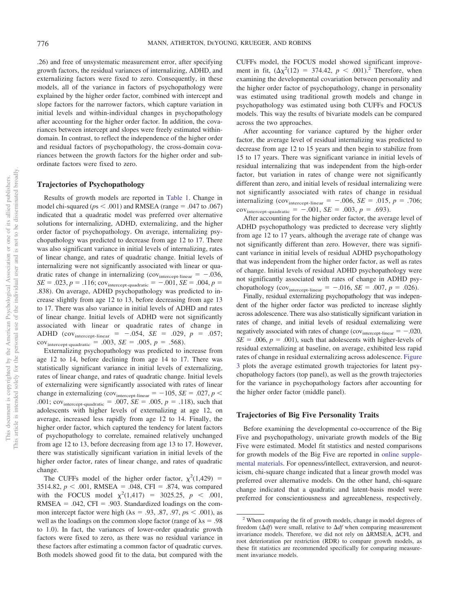.26) and free of unsystematic measurement error, after specifying growth factors, the residual variances of internalizing, ADHD, and externalizing factors were fixed to zero. Consequently, in these models, all of the variance in factors of psychopathology were explained by the higher order factor, combined with intercept and slope factors for the narrower factors, which capture variation in initial levels and within-individual changes in psychopathology after accounting for the higher order factor. In addition, the covariances between intercept and slopes were freely estimated withindomain. In contrast, to reflect the independence of the higher order and residual factors of psychopathology, the cross-domain covariances between the growth factors for the higher order and subordinate factors were fixed to zero.

#### **Trajectories of Psychopathology**

Results of growth models are reported in [Table 1.](#page-8-0) Change in model chi-squared ( $ps < .001$ ) and RMSEA (range = .047 to .067) indicated that a quadratic model was preferred over alternative solutions for internalizing, ADHD, externalizing, and the higher order factor of psychopathology. On average, internalizing psychopathology was predicted to decrease from age 12 to 17. There was also significant variance in initial levels of internalizing, rates of linear change, and rates of quadratic change. Initial levels of internalizing were not significantly associated with linear or quadratic rates of change in internalizing ( $cov<sub>intercept-linear</sub> = -0.036$ ,  $SE = .023, p = .116$ ;  $cov_{intercept-quadratic} = -.001, SE = .004, p =$ .838). On average, ADHD psychopathology was predicted to increase slightly from age 12 to 13, before decreasing from age 13 to 17. There was also variance in initial levels of ADHD and rates of linear change. Initial levels of ADHD were not significantly associated with linear or quadratic rates of change in ADHD (cov<sub>intercept-linear</sub> =  $-.054$ , *SE* = .029, *p* = .057;  $cov_{\text{intercept-quadratic}} = .003, \, SE = .005, \, p = .568).$ 

Externalizing psychopathology was predicted to increase from age 12 to 14, before declining from age 14 to 17. There was statistically significant variance in initial levels of externalizing, rates of linear change, and rates of quadratic change. Initial levels of externalizing were significantly associated with rates of linear change in externalizing (cov<sub>intercept-linear</sub> =  $-105$ , *SE* = .027, *p* < .001;  $cov_{intercept-quadratic} = .007$ ,  $SE = .005$ ,  $p = .118$ ), such that adolescents with higher levels of externalizing at age 12, on average, increased less rapidly from age 12 to 14. Finally, the higher order factor, which captured the tendency for latent factors of psychopathology to correlate, remained relatively unchanged from age 12 to 13, before decreasing from age 13 to 17. However, there was statistically significant variation in initial levels of the higher order factor, rates of linear change, and rates of quadratic change.

The CUFFs model of the higher order factor,  $\chi^2(1,429)$  =  $3514.82, p \le .001$ , RMSEA = .048, CFI = .874, was compared with the FOCUS model  $\chi^2(1,417) = 3025.25, p < .001,$  $RMSEA = .042$ ,  $CFI = .903$ . Standardized loadings on the common intercept factor were high  $(\lambda s = .93, .87, .97, p s < .001)$ , as well as the loadings on the common slope factor (range of  $\lambda$ s = .98 to 1.0). In fact, the variances of lower-order quadratic growth factors were fixed to zero, as there was no residual variance in these factors after estimating a common factor of quadratic curves. Both models showed good fit to the data, but compared with the

CUFFs model, the FOCUS model showed significant improvement in fit,  $(\Delta \chi^2(12) = 374.42, p < .001).$ <sup>2</sup> Therefore, when examining the developmental covariation between personality and the higher order factor of psychopathology, change in personality was estimated using traditional growth models and change in psychopathology was estimated using both CUFFs and FOCUS models. This way the results of bivariate models can be compared across the two approaches.

After accounting for variance captured by the higher order factor, the average level of residual internalizing was predicted to decrease from age 12 to 15 years and then begin to stabilize from 15 to 17 years. There was significant variance in initial levels of residual internalizing that was independent from the high-order factor, but variation in rates of change were not significantly different than zero, and initial levels of residual internalizing were not significantly associated with rates of change in residual internalizing (cov<sub>intercept-linear</sub> =  $-.006$ , *SE* = .015, *p* = .706;  $cov_{\text{intercept-quadratic}} = -.001, SE = .003, p = .693).$ 

After accounting for the higher order factor, the average level of ADHD psychopathology was predicted to decrease very slightly from age 12 to 17 years, although the average rate of change was not significantly different than zero. However, there was significant variance in initial levels of residual ADHD psychopathology that was independent from the higher order factor, as well as rates of change. Initial levels of residual ADHD psychopathology were not significantly associated with rates of change in ADHD psychopathology (cov<sub>intercept-linear</sub> =  $-.016$ , *SE* = .007, *p* = .026).

Finally, residual externalizing psychopathology that was independent of the higher order factor was predicted to increase slightly across adolescence. There was also statistically significant variation in rates of change, and initial levels of residual externalizing were negatively associated with rates of change  $\text{(cov}_{\text{intercept-linear}} = -.020,$  $SE = .006$ ,  $p = .001$ ), such that adolescents with higher-levels of residual externalizing at baseline, on average, exhibited less rapid rates of change in residual externalizing across adolescence. [Figure](#page-9-0) [3](#page-9-0) plots the average estimated growth trajectories for latent psychopathology factors (top panel), as well as the growth trajectories for the variance in psychopathology factors after accounting for the higher order factor (middle panel).

# **Trajectories of Big Five Personality Traits**

Before examining the developmental co-occurrence of the Big Five and psychopathology, univariate growth models of the Big Five were estimated. Model fit statistics and nested comparisons for growth models of the Big Five are reported in [online supple](http://dx.doi.org/10.1037/abn0000633.supp)[mental materials.](http://dx.doi.org/10.1037/abn0000633.supp) For openness/intellect, extraversion, and neuroticism, chi-square change indicated that a linear growth model was preferred over alternative models. On the other hand, chi-square change indicated that a quadratic and latent-basis model were preferred for conscientiousness and agreeableness, respectively.

<sup>&</sup>lt;sup>2</sup> When comparing the fit of growth models, change in model degrees of freedom  $(\Delta df)$  were small, relative to  $\Delta df$  when comparing measurement invariance models. Therefore, we did not rely on  $\Delta RMSEA$ ,  $\Delta CFI$ , and root deterioration per restriction (RDR) to compare growth models, as these fit statistics are recommended specifically for comparing measurement invariance models.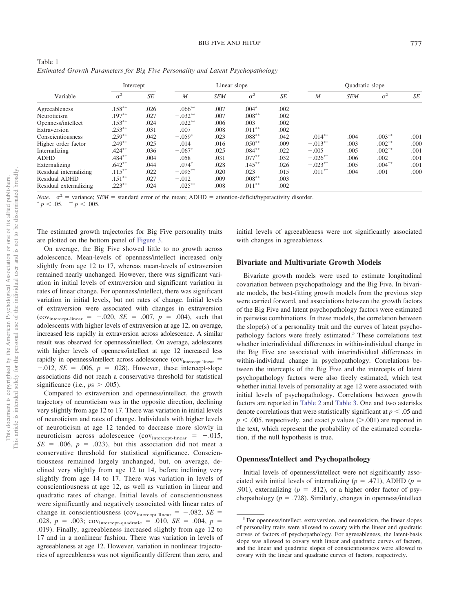<span id="page-8-0"></span>

| Table 1                                                                         |  |  |  |
|---------------------------------------------------------------------------------|--|--|--|
| Estimated Growth Parameters for Big Five Personality and Latent Psychopathology |  |  |  |

| Variable               | Intercept  |           | Linear slope     |            |            |           | Quadratic slope  |            |            |      |
|------------------------|------------|-----------|------------------|------------|------------|-----------|------------------|------------|------------|------|
|                        | $\sigma^2$ | <b>SE</b> | $\boldsymbol{M}$ | <b>SEM</b> | $\sigma^2$ | <b>SE</b> | $\boldsymbol{M}$ | <b>SEM</b> | $\sigma^2$ | SE   |
| Agreeableness          | $.158***$  | .026      | $.066***$        | .007       | $.004*$    | .002      |                  |            |            |      |
| Neuroticism            | $.197***$  | .027      | $-.032**$        | .007       | $.008***$  | .002      |                  |            |            |      |
| Openness/intellect     | $.153***$  | .024      | $.022***$        | .006       | .003       | .002      |                  |            |            |      |
| Extraversion           | $.253***$  | .031      | .007             | .008       | $.011***$  | .002      |                  |            |            |      |
| Conscientiousness      | $.259***$  | .042      | $-.059*$         | .023       | $.088***$  | .042      | $.014***$        | .004       | $.003***$  | .001 |
| Higher order factor    | $.249***$  | .025      | .014             | .016       | $.050**$   | .009      | $-.013***$       | .003       | $.002***$  | .000 |
| Internalizing          | $.424***$  | .036      | $-.067*$         | .025       | $.084***$  | .022      | $-.005$          | .005       | $.002***$  | .001 |
| <b>ADHD</b>            | $.484***$  | .004      | .058             | .031       | $.077***$  | .032      | $-.026***$       | .006       | .002       | .001 |
| Externalizing          | $.642**$   | .044      | $.074*$          | .028       | $.145***$  | .026      | $-.023**$        | .005       | $.004***$  | .001 |
| Residual internalizing | $.115***$  | .022      | $-.095***$       | .020       | .023       | .015      | $.011***$        | .004       | .001       | .000 |
| Residual ADHD          | $.151***$  | .027      | $-.012$          | .009       | $.008***$  | .003      |                  |            |            |      |
| Residual externalizing | $.223***$  | .024      | $.025***$        | .008       | $.011***$  | .002      |                  |            |            |      |

*Note.*  $\sigma^2$  = variance; *SEM* = standard error of the mean; ADHD = attention-deficit/hyperactivity disorder.

 $p < .05.$  \*\*  $p < .005.$ 

The estimated growth trajectories for Big Five personality traits are plotted on the bottom panel of [Figure 3.](#page-9-0)

On average, the Big Five showed little to no growth across adolescence. Mean-levels of openness/intellect increased only slightly from age 12 to 17, whereas mean-levels of extraversion remained nearly unchanged. However, there was significant variation in initial levels of extraversion and significant variation in rates of linear change. For openness/intellect, there was significant variation in initial levels, but not rates of change. Initial levels of extraversion were associated with changes in extraversion  $\text{(cov}_{\text{intercept-linear}} = -0.020, \ \text{SE} = 0.007, \ p = 0.004, \text{ such that}$ adolescents with higher levels of extraversion at age 12, on average, increased less rapidly in extraversion across adolescence. A similar result was observed for openness/intellect. On average, adolescents with higher levels of openness/intellect at age 12 increased less rapidly in openness/intellect across adolescence (cov<sub>intercept-linear</sub> =  $-.012$ , *SE* = .006,  $p = .028$ ). However, these intercept-slope associations did not reach a conservative threshold for statistical significance (i.e.,  $p_s > .005$ ).

Compared to extraversion and openness/intellect, the growth trajectory of neuroticism was in the opposite direction, declining very slightly from age 12 to 17. There was variation in initial levels of neuroticism and rates of change. Individuals with higher levels of neuroticism at age 12 tended to decrease more slowly in neuroticism across adolescence  $\text{(cov}_{\text{intercept-linear}} = -0.015,$  $SE = .006$ ,  $p = .023$ ), but this association did not meet a conservative threshold for statistical significance. Conscientiousness remained largely unchanged, but, on average, declined very slightly from age 12 to 14, before inclining very slightly from age 14 to 17. There was variation in levels of conscientiousness at age 12, as well as variation in linear and quadratic rates of change. Initial levels of conscientiousness were significantly and negatively associated with linear rates of change in conscientiousness (cov<sub>intercept-linear</sub> =  $-.082$ , *SE* = .028,  $p = .003$ ;  $cov_{intercept-quadratic} = .010$ ,  $SE = .004$ ,  $p =$ .019). Finally, agreeableness increased slightly from age 12 to 17 and in a nonlinear fashion. There was variation in levels of agreeableness at age 12. However, variation in nonlinear trajectories of agreeableness was not significantly different than zero, and

initial levels of agreeableness were not significantly associated with changes in agreeableness.

# **Bivariate and Multivariate Growth Models**

Bivariate growth models were used to estimate longitudinal covariation between psychopathology and the Big Five. In bivariate models, the best-fitting growth models from the previous step were carried forward, and associations between the growth factors of the Big Five and latent psychopathology factors were estimated in pairwise combinations. In these models, the correlation between the slope(s) of a personality trait and the curves of latent psychopathology factors were freely estimated.<sup>3</sup> These correlations test whether interindividual differences in within-individual change in the Big Five are associated with interindividual differences in within-individual change in psychopathology. Correlations between the intercepts of the Big Five and the intercepts of latent psychopathology factors were also freely estimated, which test whether initial levels of personality at age 12 were associated with initial levels of psychopathology. Correlations between growth factors are reported in [Table 2](#page-10-0) and [Table 3.](#page-11-0) One and two asterisks denote correlations that were statistically significant at  $p < .05$  and  $p < .005$ , respectively, and exact *p* values ( $> .001$ ) are reported in the text, which represent the probability of the estimated correlation, if the null hypothesis is true.

# **Openness/Intellect and Psychopathology**

Initial levels of openness/intellect were not significantly associated with initial levels of internalizing ( $p = .471$ ), ADHD ( $p =$ .901), externalizing ( $p = .812$ ), or a higher order factor of psychopathology ( $p = .728$ ). Similarly, changes in openness/intellect

<sup>&</sup>lt;sup>3</sup> For openness/intellect, extraversion, and neuroticism, the linear slopes of personality traits were allowed to covary with the linear and quadratic curves of factors of psychopathology. For agreeableness, the latent-basis slope was allowed to covary with linear and quadratic curves of factors, and the linear and quadratic slopes of conscientiousness were allowed to covary with the linear and quadratic curves of factors, respectively.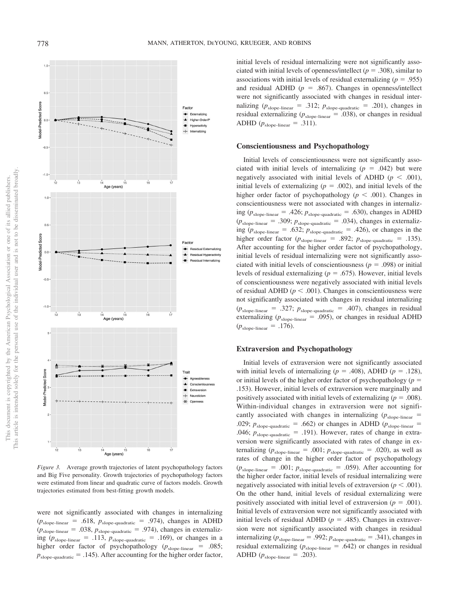This document is copyrighted by the American Psychological Association or one of its allied publishers. This article is intended solely for the personal use of the individual user and is not to be disseminated broadly.

This article is intended solely for the personal use of the individual user and is not to be disseminated broadly. This document is copyrighted by the American Psychological Association or one of its allied publishers.



<span id="page-9-0"></span>*Figure 3.* Average growth trajectories of latent psychopathology factors and Big Five personality. Growth trajectories of psychopathology factors were estimated from linear and quadratic curve of factors models. Growth trajectories estimated from best-fitting growth models.

were not significantly associated with changes in internalizing  $(p_{\text{slope-linear}} = .618, p_{\text{slope-quadratic}} = .974)$ , changes in ADHD  $(p_{\text{slope-linear}} = .038, p_{\text{slope-quadratic}} = .974)$ , changes in externalizing ( $p_{\text{slope-linear}} = .113$ ,  $p_{\text{slope-quadratic}} = .169$ ), or changes in a higher order factor of psychopathology ( $p_{\text{slope-linear}} = .085$ ;  $p_{\text{slope-quadratic}} = .145$ ). After accounting for the higher order factor, initial levels of residual internalizing were not significantly associated with initial levels of openness/intellect ( $p = .308$ ), similar to associations with initial levels of residual externalizing  $(p = .955)$ and residual ADHD ( $p = .867$ ). Changes in openness/intellect were not significantly associated with changes in residual internalizing ( $p_{\text{slope-linear}} = .312$ ;  $p_{\text{slope-quadratic}} = .201$ ), changes in residual externalizing ( $p_{\text{slope-linear}} = .038$ ), or changes in residual ADHD  $(p_{\text{slope-linear}} = .311)$ .

#### **Conscientiousness and Psychopathology**

Initial levels of conscientiousness were not significantly associated with initial levels of internalizing  $(p = .042)$  but were negatively associated with initial levels of ADHD ( $p < .001$ ), initial levels of externalizing  $(p = .002)$ , and initial levels of the higher order factor of psychopathology ( $p < .001$ ). Changes in conscientiousness were not associated with changes in internalizing ( $p_{\text{slope-linear}} = .426$ ;  $p_{\text{slope-quadratic}} = .630$ ), changes in ADHD  $(p_{\text{slope-linear}} = .309; p_{\text{slope-quadratic}} = .034)$ , changes in externalizing ( $p_{\text{slope-linear}} = .632$ ;  $p_{\text{slope-quadratic}} = .426$ ), or changes in the higher order factor ( $p_{\text{slope-linear}} = .892$ ;  $p_{\text{slope-quadratic}} = .135$ ). After accounting for the higher order factor of psychopathology, initial levels of residual internalizing were not significantly associated with initial levels of conscientiousness ( $p = .098$ ) or initial levels of residual externalizing ( $p = .675$ ). However, initial levels of conscientiousness were negatively associated with initial levels of residual ADHD ( $p < .001$ ). Changes in conscientiousness were not significantly associated with changes in residual internalizing  $(p_{\text{slope-linear}} = .327; p_{\text{slope-quadratic}} = .407)$ , changes in residual externalizing ( $p_{\text{slope-linear}} = .095$ ), or changes in residual ADHD  $(p_{\text{slope-linear}} = .176)$ .

# **Extraversion and Psychopathology**

Initial levels of extraversion were not significantly associated with initial levels of internalizing ( $p = .408$ ), ADHD ( $p = .128$ ), or initial levels of the higher order factor of psychopathology ( $p =$ .153). However, initial levels of extraversion were marginally and positively associated with initial levels of externalizing  $(p = .008)$ . Within-individual changes in extraversion were not significantly associated with changes in internalizing  $(p_{\text{slope-linear}} =$ .029;  $p_{\text{slope-quadratic}} = .662$ ) or changes in ADHD ( $p_{\text{slope-linear}} =$ .046;  $p_{\text{slope-quadratic}} = .191$ ). However, rates of change in extraversion were significantly associated with rates of change in externalizing  $(p_{\text{slope-linear}} = .001; p_{\text{slope-quadratic}} = .020)$ , as well as rates of change in the higher order factor of psychopathology  $(p_{\text{slope-linear}} = .001; p_{\text{slope-quadratic}} = .059)$ . After accounting for the higher order factor, initial levels of residual internalizing were negatively associated with initial levels of extraversion ( $p < .001$ ). On the other hand, initial levels of residual externalizing were positively associated with initial level of extraversion  $(p = .001)$ . Initial levels of extraversion were not significantly associated with initial levels of residual ADHD ( $p = .485$ ). Changes in extraversion were not significantly associated with changes in residual internalizing ( $p_{\text{slope-linear}} = .992$ ;  $p_{\text{slope-quadratic}} = .341$ ), changes in residual externalizing  $(p_{\text{slope-linear}} = .642)$  or changes in residual ADHD ( $p_{\text{slope-linear}} = .203$ ).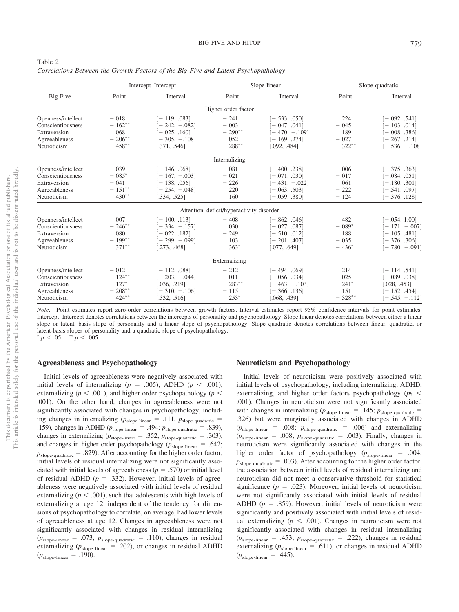|                    |            | Intercept-Intercept |                                          | Slope linear     | Slope quadratic |                  |  |
|--------------------|------------|---------------------|------------------------------------------|------------------|-----------------|------------------|--|
| Big Five           | Point      | Interval            | Point                                    | Interval         | Point           | Interval         |  |
|                    |            |                     | Higher order factor                      |                  |                 |                  |  |
| Openness/intellect | $-.018$    | $[-.119, .083]$     | $-.241$                                  | $[-.533, .050]$  | .224            | $[-.092, .541]$  |  |
| Conscientiousness  | $-.162**$  | $[-.242, -.082]$    | $-.003$                                  | $[-.047, .041]$  | $-.045$         | $[-.103, .014]$  |  |
| Extraversion       | .068       | $[-.025, .160]$     | $-.290**$                                | $[-.470, -.109]$ | .189            | $[-.008, .386]$  |  |
| Agreeableness      | $-.206***$ | $[-.305, -.108]$    | .052                                     | $[-.169, .274]$  | $-.027$         | $[-.267, .214]$  |  |
| Neuroticism        | $.458***$  | [.371, .546]        | $.288***$                                | [.092, .484]     | $-.322**$       | $[-.536, -.108]$ |  |
|                    |            |                     | Internalizing                            |                  |                 |                  |  |
| Openness/intellect | $-.039$    | $[-.146, .068]$     | $-.081$                                  | $[-.400, .238]$  | $-.006$         | $[-.375, .363]$  |  |
| Conscientiousness  | $-.085*$   | $[-.167, -.003]$    | $-.021$                                  | $[-.071, .030]$  | $-.017$         | $[-.084, .051]$  |  |
| Extraversion       | $-.041$    | $[-.138, .056]$     | $-.226$                                  | $[-.431, -.022]$ | .061            | $[-.180, .301]$  |  |
| Agreeableness      | $-.151***$ | $[-.254, -.048]$    | .220                                     | $[-.063, .503]$  | $-.222$         | $[-.541, .097]$  |  |
| Neuroticism        | $.430**$   | [.334, .525]        | .160                                     | $[-.059, .380]$  | $-.124$         | $[-.376, .128]$  |  |
|                    |            |                     | Attention-deficit/hyperactivity disorder |                  |                 |                  |  |
| Openness/intellect | .007       | $[-.100, .113]$     | $-.408$                                  | $[-.862, .046]$  | .482            | $[-.054, 1.00]$  |  |
| Conscientiousness  | $-.246**$  | $[-.334, -.157]$    | .030                                     | $[-.027, .087]$  | $-.089*$        | $[-.171, -.007]$ |  |
| Extraversion       | .080       | $[-.022, .182]$     | $-.249$                                  | $[-.510, .012]$  | .188            | $[-.105, .481]$  |  |
| Agreeableness      | $-.199**$  | $[-.299, -.099]$    | .103                                     | $[-.201, .407]$  | $-.035$         | $[-.376, .306]$  |  |
| Neuroticism        | $.371***$  | [.273, .468]        | $.363*$                                  | [.077, .649]     | $-.436*$        | $[-.780, -.091]$ |  |
|                    |            |                     | Externalizing                            |                  |                 |                  |  |
| Openness/intellect | $-.012$    | $[-.112, .088]$     | $-.212$                                  | $[-.494, .069]$  | .214            | $[-.114, .541]$  |  |
| Conscientiousness  | $-.124**$  | $[-.203, -.044]$    | $-.011$                                  | $[-.056, .034]$  | $-.025$         | $[-.089, .038]$  |  |
| Extraversion       | $.127*$    | [.036, .219]        | $-.283**$                                | $[-.463, -.103]$ | $.241*$         | [.028, .453]     |  |
| Agreeableness      | $-.208**$  | $[-.310, -.106]$    | $-.115$                                  | $[-.366, .136]$  | .151            | $[-.152, .454]$  |  |
| Neuroticism        | $.424***$  | [.332, .516]        | $.253*$                                  | [.068, .439]     | $-.328***$      | $[-.545, -.112]$ |  |

<span id="page-10-0"></span>

| Table 2                                                                            |  |  |  |  |  |  |
|------------------------------------------------------------------------------------|--|--|--|--|--|--|
| Correlations Between the Growth Factors of the Big Five and Latent Psychopathology |  |  |  |  |  |  |

# **Agreeableness and Psychopathology**

Initial levels of agreeableness were negatively associated with initial levels of internalizing  $(p = .005)$ , ADHD  $(p < .001)$ , externalizing ( $p < .001$ ), and higher order psychopathology ( $p <$ .001). On the other hand, changes in agreeableness were not significantly associated with changes in psychopathology, including changes in internalizing  $(p_{\text{slope-linear}} = .111, p_{\text{slope-quadratic}} =$ .159), changes in ADHD ( $p_{\text{slope-linear}} = .494$ ;  $p_{\text{slope-quadratic}} = .839$ ), changes in externalizing ( $p_{\text{slope-linear}} = .352$ ;  $p_{\text{slope-quadratic}} = .303$ ), and changes in higher order psychopathology ( $p_{\text{slope-linear}} = .642$ ;  $p_{\text{slope-quadratic}} = .829$ ). After accounting for the higher order factor, initial levels of residual internalizing were not significantly associated with initial levels of agreeableness ( $p = .570$ ) or initial level of residual ADHD ( $p = .332$ ). However, initial levels of agreeableness were negatively associated with initial levels of residual externalizing ( $p < .001$ ), such that adolescents with high levels of externalizing at age 12, independent of the tendency for dimensions of psychopathology to correlate, on average, had lower levels of agreeableness at age 12. Changes in agreeableness were not significantly associated with changes in residual internalizing  $(p_{\text{slope-linear}} = .073; p_{\text{slope-quadratic}} = .110)$ , changes in residual externalizing  $(p_{\text{slope-linear}} = .202)$ , or changes in residual ADHD  $(p_{\text{slope-linear}} = .190)$ .

#### **Neuroticism and Psychopathology**

Initial levels of neuroticism were positively associated with initial levels of psychopathology, including internalizing, ADHD, externalizing, and higher order factors psychopathology (*p*s .001). Changes in neuroticism were not significantly associated with changes in internalizing  $(p_{\text{slope-linear}} = .145; p_{\text{slope-quadratic}} =$ .326) but were marginally associated with changes in ADHD  $(p_{\text{slope-linear}} = .008; p_{\text{slope-quadratic}} = .006)$  and externalizing  $(p_{\text{slope-linear}} = .008; p_{\text{slope-quadratic}} = .003)$ . Finally, changes in neuroticism were significantly associated with changes in the higher order factor of psychopathology ( $p_{\text{slope-linear}} = .004$ ;  $p_{\text{slope-quadratic}} = .003$ ). After accounting for the higher order factor, the association between initial levels of residual internalizing and neuroticism did not meet a conservative threshold for statistical significance ( $p = .023$ ). Moreover, initial levels of neuroticism were not significantly associated with initial levels of residual ADHD ( $p = .859$ ). However, initial levels of neuroticism were significantly and positively associated with initial levels of residual externalizing  $(p < .001)$ . Changes in neuroticism were not significantly associated with changes in residual internalizing  $(p_{\text{slope-linear}} = .453; p_{\text{slope-quadratic}} = .222)$ , changes in residual externalizing  $(p_{\text{slope-linear}} = .611)$ , or changes in residual ADHD  $(p_{\text{slope-linear}} = .445)$ .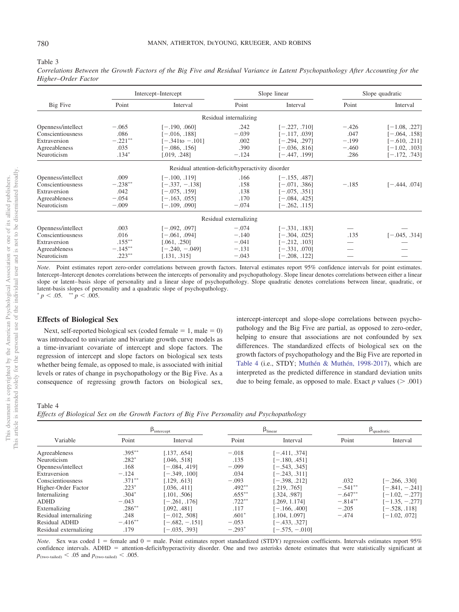<span id="page-11-0"></span>

#### Table 3

*Correlations Between the Growth Factors of the Big Five and Residual Variance in Latent Psychopathology After Accounting for the Higher–Order Factor*

|                    |                   | Intercept-Intercept                               |                        | Slope linear    | Slope quadratic |                 |
|--------------------|-------------------|---------------------------------------------------|------------------------|-----------------|-----------------|-----------------|
| Big Five           | Point<br>Interval |                                                   | Point                  | Interval        | Point           | Interval        |
|                    |                   |                                                   | Residual internalizing |                 |                 |                 |
| Openness/intellect | $-.065$           | $[-.190, .060]$                                   | .242                   | $[-.227, .710]$ | $-.426$         | $[-1.08, .227]$ |
| Conscientiousness  | .086              | $[-.016, .188]$                                   | $-.039$                | $[-.117, .039]$ | .047            | $[-.064, .158]$ |
| Extraversion       | $-.221**$         | $[-.341$ to $-.101]$                              | .002                   | $[-.294, .297]$ | $-.199$         | $-610$ , 2111   |
| Agreeableness      | .035              | $[-.086, .156]$                                   | .390                   | $[-.036, .816]$ | $-.460$         | $[-1.02, .103]$ |
| Neuroticism        | $.134*$           | [.019, .248]                                      | $-.124$                | $[-.447, .199]$ | .286            | $[-.172, .743]$ |
|                    |                   | Residual attention-deficit/hyperactivity disorder |                        |                 |                 |                 |
| Openness/intellect | .009              | $[-.100, .119]$                                   | .166                   | $[-.155, .487]$ |                 |                 |
| Conscientiousness  | $-.238**$         | $[-.337, -.138]$                                  | .158                   | $[-.071, .386]$ | $-.185$         | $[-.444, .074]$ |
| Extraversion       | .042              | $[-.075, .159]$                                   | .138                   | $[-.075, .351]$ |                 |                 |
| Agreeableness      | $-.054$           | $[-.163, .055]$                                   | .170                   | $[-.084, .425]$ |                 |                 |
| Neuroticism        | $-.009$           | $[-.109, .090]$                                   | $-.074$                | $[-.262, .115]$ |                 |                 |
|                    |                   |                                                   | Residual externalizing |                 |                 |                 |
| Openness/intellect | .003              | $[-.092, .097]$                                   | $-.074$                | $[-.331, .183]$ |                 |                 |
| Conscientiousness  | .016              | $[-.061, .094]$                                   | $-.140$                | $[-.304, .025]$ | .135            | $[-.045, .314]$ |
| Extraversion       | $.155***$         | 0.061, .250                                       | $-.041$                | $[-.212, .103]$ |                 |                 |
| Agreeableness      | $-.145***$        | $[-.240, -.049]$                                  | $-.131$                | $[-.331, .070]$ |                 |                 |
| Neuroticism        | $.223***$         | [.131, .315]                                      | $-.043$                | $[-.208, .122]$ |                 |                 |

*Note*. Point estimates report zero-order correlations between growth factors. Interval estimates report 95% confidence intervals for point estimates. Intercept–Intercept denotes correlations between the intercepts of personality and psychopathology. Slope linear denotes correlations between either a linear slope or latent– basis slope of personality and a linear slope of psychopathology. Slope quadratic denotes correlations between linear, quadratic, or latent-basis slopes of personality and a quadratic slope of psychopathology.  $p < .05.$  \*\*  $p < .005.$ 

# **Effects of Biological Sex**

Next, self-reported biological sex (coded female  $= 1$ , male  $= 0$ ) was introduced to univariate and bivariate growth curve models as a time-invariant covariate of intercept and slope factors. The regression of intercept and slope factors on biological sex tests whether being female, as opposed to male, is associated with initial levels or rates of change in psychopathology or the Big Five. As a consequence of regressing growth factors on biological sex, intercept-intercept and slope-slope correlations between psychopathology and the Big Five are partial, as opposed to zero-order, helping to ensure that associations are not confounded by sex differences. The standardized effects of biological sex on the growth factors of psychopathology and the Big Five are reported in [Table 4](#page-11-1) (i.e., STDY; [Muthén & Muthén, 1998-2017\)](#page-17-18), which are interpreted as the predicted difference in standard deviation units due to being female, as opposed to male. Exact  $p$  values ( $> .001$ )

# <span id="page-11-1"></span>Table 4

*Effects of Biological Sex on the Growth Factors of Big Five Personality and Psychopathology*

|                        |            | $\beta_{intercept}$ |           | $\beta_{linear}$ | $\beta_{\text{quadratic}}$ |                   |  |
|------------------------|------------|---------------------|-----------|------------------|----------------------------|-------------------|--|
| Variable               | Point      | Interval            | Point     | Interval         | Point                      | Interval          |  |
| Agreeableness          | $.395***$  | [.137, .654]        | $-.018$   | $[-.411, .374]$  |                            |                   |  |
| Neuroticism            | $.282*$    | [.046. .518]        | .135      | $[-.180, .451]$  |                            |                   |  |
| Openness/intellect     | .168       | $-0.084, .4191$     | $-.099$   | $-543, .345$     |                            |                   |  |
| Extraversion           | $-.124$    | $[-.349, .100]$     | .034      | $-.243, .311]$   |                            |                   |  |
| Conscientiousness      | $.371***$  | [.129, .613]        | $-.093$   | $-0.398, 0.2121$ | .032                       | $[-.266, .330]$   |  |
| Higher-Order Factor    | $.223*$    | [.036. .411]        | $.492**$  | .219, .7651      | $-.541***$                 | $[-.841, -.241]$  |  |
| Internalizing          | $.304*$    | [.101, .506]        | $.655***$ | 1.324. .9871     | $-.647**$                  | $[-1.02, -0.277]$ |  |
| <b>ADHD</b>            | $-.043$    | $[-.261, .176]$     | $.722***$ | .269, 1.174      | $-.814**$                  | $-1.35, -277$     |  |
| Externalizing          | $.286***$  | [.092481]           | .117      | $[-.166, .400]$  | $-.205$                    | $[-.528, .118]$   |  |
| Residual internalizing | .248       | $[-.012, .508]$     | $.601*$   | 104, 1.0971      | $-.474$                    | $-1.02, .0721$    |  |
| Residual ADHD          | $-.416***$ | $[-.682, -.151]$    | $-.053$   | $[-.433, .327]$  |                            |                   |  |
| Residual externalizing | .179       | $[-.035, .393]$     | $-.293*$  | $[-.575, -.010]$ |                            |                   |  |

*Note*. Sex was coded 1 = female and 0 = male. Point estimates report standardized (STDY) regression coefficients. Intervals estimates report 95% confidence intervals. ADHD = attention-deficit/hyperactivity disorder. One and two asterisks denote estimates that were statistically significant at  $p_{\text{(two-tailed)}} < .05$  and  $p_{\text{(two-tailed)}} < .005$ .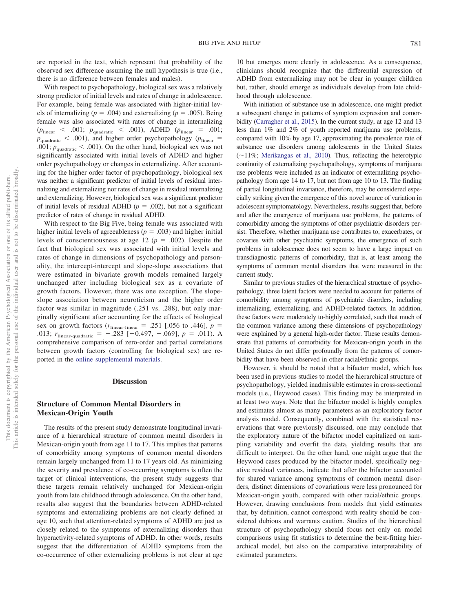are reported in the text, which represent that probability of the observed sex difference assuming the null hypothesis is true (i.e., there is no difference between females and males).

With respect to psychopathology, biological sex was a relatively strong predictor of initial levels and rates of change in adolescence. For example, being female was associated with higher-initial levels of internalizing ( $p = .004$ ) and externalizing ( $p = .005$ ). Being female was also associated with rates of change in internalizing  $(p_{\text{linear}} \leq .001; p_{\text{quadratic}} \leq .001)$ , ADHD  $(p_{\text{linear}} = .001;$  $p_{\text{quadratic}} < .001$ ), and higher order psychopathology ( $p_{\text{linear}} =$ .001;  $p_{\text{quadratic}} < .001$ ). On the other hand, biological sex was not significantly associated with initial levels of ADHD and higher order psychopathology or changes in externalizing. After accounting for the higher order factor of psychopathology, biological sex was neither a significant predictor of initial levels of residual internalizing and externalizing nor rates of change in residual internalizing and externalizing. However, biological sex was a significant predictor of initial levels of residual ADHD ( $p = .002$ ), but not a significant predictor of rates of change in residual ADHD.

With respect to the Big Five, being female was associated with higher initial levels of agreeableness  $(p = .003)$  and higher initial levels of conscientiousness at age 12 ( $p = .002$ ). Despite the fact that biological sex was associated with initial levels and rates of change in dimensions of psychopathology and personality, the intercept-intercept and slope-slope associations that were estimated in bivariate growth models remained largely unchanged after including biological sex as a covariate of growth factors. However, there was one exception. The slopeslope association between neuroticism and the higher order factor was similar in magnitude (.251 vs. .288), but only marginally significant after accounting for the effects of biological sex on growth factors  $(r_{\text{linear-linear}} = .251$  [.056 to .446],  $p =$ .013;  $r_{\text{linear-quadratic}} = -.283 [-0.497, -.069], p = .011$ . A comprehensive comparison of zero-order and partial correlations between growth factors (controlling for biological sex) are reported in the [online supplemental materials.](http://dx.doi.org/10.1037/abn0000633.supp)

# **Discussion**

# **Structure of Common Mental Disorders in Mexican-Origin Youth**

The results of the present study demonstrate longitudinal invariance of a hierarchical structure of common mental disorders in Mexican-origin youth from age 11 to 17. This implies that patterns of comorbidity among symptoms of common mental disorders remain largely unchanged from 11 to 17 years old. As minimizing the severity and prevalence of co-occurring symptoms is often the target of clinical interventions, the present study suggests that these targets remain relatively unchanged for Mexican-origin youth from late childhood through adolescence. On the other hand, results also suggest that the boundaries between ADHD-related symptoms and externalizing problems are not clearly defined at age 10, such that attention-related symptoms of ADHD are just as closely related to the symptoms of externalizing disorders than hyperactivity-related symptoms of ADHD. In other words, results suggest that the differentiation of ADHD symptoms from the co-occurrence of other externalizing problems is not clear at age

10 but emerges more clearly in adolescence. As a consequence, clinicians should recognize that the differential expression of ADHD from externalizing may not be clear in younger children but, rather, should emerge as individuals develop from late childhood through adolescence.

With initiation of substance use in adolescence, one might predict a subsequent change in patterns of symptom expression and comorbidity [\(Carragher et al., 2015\)](#page-15-0). In the current study, at age 12 and 13 less than 1% and 2% of youth reported marijuana use problems, compared with 10% by age 17, approximating the prevalence rate of substance use disorders among adolescents in the United States  $(-11\%;$  [Merikangas et al., 2010\)](#page-17-25). Thus, reflecting the heterotypic continuity of externalizing psychopathology, symptoms of marijuana use problems were included as an indicator of externalizing psychopathology from age 14 to 17, but not from age 10 to 13. The finding of partial longitudinal invariance, therefore, may be considered especially striking given the emergence of this novel source of variation in adolescent symptomatology. Nevertheless, results suggest that, before and after the emergence of marijuana use problems, the patterns of comorbidity among the symptoms of other psychiatric disorders persist. Therefore, whether marijuana use contributes to, exacerbates, or covaries with other psychiatric symptoms, the emergence of such problems in adolescence does not seem to have a large impact on transdiagnostic patterns of comorbidity, that is, at least among the symptoms of common mental disorders that were measured in the current study.

Similar to previous studies of the hierarchical structure of psychopathology, three latent factors were needed to account for patterns of comorbidity among symptoms of psychiatric disorders, including internalizing, externalizing, and ADHD-related factors. In addition, these factors were moderately to-highly correlated, such that much of the common variance among these dimensions of psychopathology were explained by a general high-order factor. These results demonstrate that patterns of comorbidity for Mexican-origin youth in the United States do not differ profoundly from the patterns of comorbidity that have been observed in other racial/ethnic groups.

However, it should be noted that a bifactor model, which has been used in previous studies to model the hierarchical structure of psychopathology, yielded inadmissible estimates in cross-sectional models (i.e., Heywood cases). This finding may be interpreted in at least two ways. Note that the bifactor model is highly complex and estimates almost as many parameters as an exploratory factor analysis model. Consequently, combined with the statistical reservations that were previously discussed, one may conclude that the exploratory nature of the bifactor model capitalized on sampling variability and overfit the data, yielding results that are difficult to interpret. On the other hand, one might argue that the Heywood cases produced by the bifactor model, specifically negative residual variances, indicate that after the bifactor accounted for shared variance among symptoms of common mental disorders, distinct dimensions of covariations were less pronounced for Mexican-origin youth, compared with other racial/ethnic groups. However, drawing conclusions from models that yield estimates that, by definition, cannot correspond with reality should be considered dubious and warrants caution. Studies of the hierarchical structure of psychopathology should focus not only on model comparisons using fit statistics to determine the best-fitting hierarchical model, but also on the comparative interpretability of estimated parameters.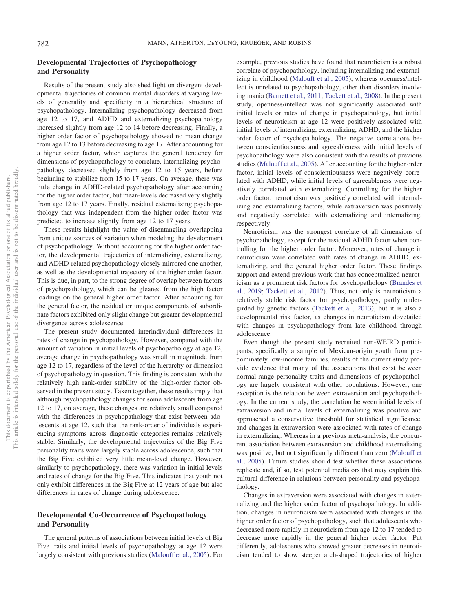# **Developmental Trajectories of Psychopathology and Personality**

Results of the present study also shed light on divergent developmental trajectories of common mental disorders at varying levels of generality and specificity in a hierarchical structure of psychopathology. Internalizing psychopathology decreased from age 12 to 17, and ADHD and externalizing psychopathology increased slightly from age 12 to 14 before decreasing. Finally, a higher order factor of psychopathology showed no mean change from age 12 to 13 before decreasing to age 17. After accounting for a higher order factor, which captures the general tendency for dimensions of psychopathology to correlate, internalizing psychopathology decreased slightly from age 12 to 15 years, before beginning to stabilize from 15 to 17 years. On average, there was little change in ADHD-related psychopathology after accounting for the higher order factor, but mean-levels decreased very slightly from age 12 to 17 years. Finally, residual externalizing psychopathology that was independent from the higher order factor was predicted to increase slightly from age 12 to 17 years.

These results highlight the value of disentangling overlapping from unique sources of variation when modeling the development of psychopathology. Without accounting for the higher order factor, the developmental trajectories of internalizing, externalizing, and ADHD-related psychopathology closely mirrored one another, as well as the developmental trajectory of the higher order factor. This is due, in part, to the strong degree of overlap between factors of psychopathology, which can be gleaned from the high factor loadings on the general higher order factor. After accounting for the general factor, the residual or unique components of subordinate factors exhibited only slight change but greater developmental divergence across adolescence.

The present study documented interindividual differences in rates of change in psychopathology. However, compared with the amount of variation in initial levels of psychopathology at age 12, average change in psychopathology was small in magnitude from age 12 to 17, regardless of the level of the hierarchy or dimension of psychopathology in question. This finding is consistent with the relatively high rank-order stability of the high-order factor observed in the present study. Taken together, these results imply that although psychopathology changes for some adolescents from age 12 to 17, on average, these changes are relatively small compared with the differences in psychopathology that exist between adolescents at age 12, such that the rank-order of individuals experiencing symptoms across diagnostic categories remains relatively stable. Similarly, the developmental trajectories of the Big Five personality traits were largely stable across adolescence, such that the Big Five exhibited very little mean-level change. However, similarly to psychopathology, there was variation in initial levels and rates of change for the Big Five. This indicates that youth not only exhibit differences in the Big Five at 12 years of age but also differences in rates of change during adolescence.

# **Developmental Co-Occurrence of Psychopathology and Personality**

The general patterns of associations between initial levels of Big Five traits and initial levels of psychopathology at age 12 were largely consistent with previous studies [\(Malouff et al., 2005\)](#page-17-5). For

example, previous studies have found that neuroticism is a robust correlate of psychopathology, including internalizing and externalizing in childhood [\(Malouff et al., 2005\)](#page-17-5), whereas openness/intellect is unrelated to psychopathology, other than disorders involving mania [\(Barnett et al., 2011;](#page-15-8) [Tackett et al., 2008\)](#page-18-11). In the present study, openness/intellect was not significantly associated with initial levels or rates of change in psychopathology, but initial levels of neuroticism at age 12 were positively associated with initial levels of internalizing, externalizing, ADHD, and the higher order factor of psychopathology. The negative correlations between conscientiousness and agreeableness with initial levels of psychopathology were also consistent with the results of previous studies [\(Malouff et al., 2005\)](#page-17-5). After accounting for the higher order factor, initial levels of conscientiousness were negatively correlated with ADHD, while initial levels of agreeableness were negatively correlated with externalizing. Controlling for the higher order factor, neuroticism was positively correlated with internalizing and externalizing factors, while extraversion was positively and negatively correlated with externalizing and internalizing, respectively.

Neuroticism was the strongest correlate of all dimensions of psychopathology, except for the residual ADHD factor when controlling for the higher order factor. Moreover, rates of change in neuroticism were correlated with rates of change in ADHD, externalizing, and the general higher order factor. These findings support and extend previous work that has conceptualized neuroticism as a prominent risk factors for psychopathology [\(Brandes et](#page-15-3) [al., 2019;](#page-15-3) [Tackett et al., 2012\)](#page-18-0). Thus, not only is neuroticism a relatively stable risk factor for psychopathology, partly undergirded by genetic factors [\(Tackett et al., 2013\)](#page-18-26), but it is also a developmental risk factor, as changes in neuroticism dovetailed with changes in psychopathology from late childhood through adolescence.

Even though the present study recruited non-WEIRD participants, specifically a sample of Mexican-origin youth from predominately low-income families, results of the current study provide evidence that many of the associations that exist between normal-range personality traits and dimensions of psychopathology are largely consistent with other populations. However, one exception is the relation between extraversion and psychopathology. In the current study, the correlation between initial levels of extraversion and initial levels of externalizing was positive and approached a conservative threshold for statistical significance, and changes in extraversion were associated with rates of change in externalizing. Whereas in a previous meta-analysis, the concurrent association between extraversion and childhood externalizing was positive, but not significantly different than zero [\(Malouff et](#page-17-5) [al., 2005\)](#page-17-5). Future studies should test whether these associations replicate and, if so, test potential mediators that may explain this cultural difference in relations between personality and psychopathology.

Changes in extraversion were associated with changes in externalizing and the higher order factor of psychopathology. In addition, changes in neuroticism were associated with changes in the higher order factor of psychopathology, such that adolescents who decreased more rapidly in neuroticism from age 12 to 17 tended to decrease more rapidly in the general higher order factor. Put differently, adolescents who showed greater decreases in neuroticism tended to show steeper arch-shaped trajectories of higher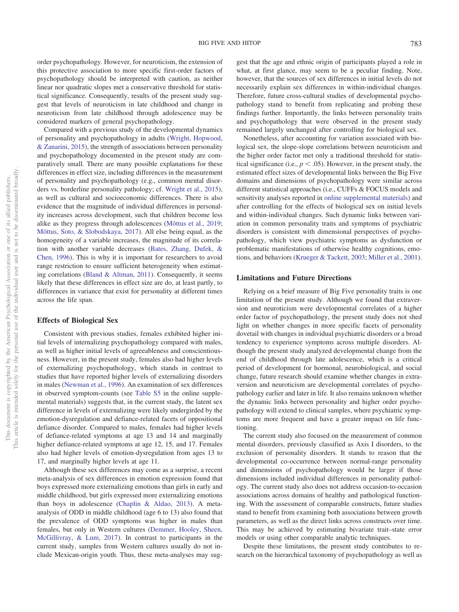order psychopathology. However, for neuroticism, the extension of this protective association to more specific first-order factors of psychopathology should be interpreted with caution, as neither linear nor quadratic slopes met a conservative threshold for statistical significance. Consequently, results of the present study suggest that levels of neuroticism in late childhood and change in neuroticism from late childhood through adolescence may be considered markers of general psychopathology.

Compared with a previous study of the developmental dynamics of personality and psychopathology in adults [\(Wright, Hopwood,](#page-18-27) [& Zanarini, 2015\)](#page-18-27), the strength of associations between personality and psychopathology documented in the present study are comparatively small. There are many possible explanations for these differences in effect size, including differences in the measurement of personality and psychopathology (e.g., common mental disorders vs. borderline personality pathology; cf. [Wright et al., 2015\)](#page-18-27), as well as cultural and socioeconomic differences. There is also evidence that the magnitude of individual differences in personality increases across development, such that children become less alike as they progress through adolescences [\(Mõttus et al., 2019;](#page-17-26) [Mõttus, Soto, & Slobodskaya, 2017\)](#page-17-27). All else being equal, as the homogeneity of a variable increases, the magnitude of its correlation with another variable decreases [\(Bates, Zhang, Dufek, &](#page-15-19) [Chen, 1996\)](#page-15-19). This is why it is important for researchers to avoid range restriction to ensure sufficient heterogeneity when estimating correlations [\(Bland & Altman, 2011\)](#page-15-20). Consequently, it seems likely that these differences in effect size are do, at least partly, to differences in variance that exist for personality at different times across the life span.

# **Effects of Biological Sex**

Consistent with previous studies, females exhibited higher initial levels of internalizing psychopathology compared with males, as well as higher initial levels of agreeableness and conscientiousness. However, in the present study, females also had higher levels of externalizing psychopathology, which stands in contrast to studies that have reported higher levels of externalizing disorders in males [\(Newman et al., 1996\)](#page-17-13). An examination of sex differences in observed symptom-counts (see [Table S5](http://dx.doi.org/10.1037/abn0000633.supp) in the online supplemental materials) suggests that, in the current study, the latent sex difference in levels of externalizing were likely undergirded by the emotion-dysregulation and defiance-related facets of oppositional defiance disorder. Compared to males, females had higher levels of defiance-related symptoms at age 13 and 14 and marginally higher defiance-related symptoms at age 12, 15, and 17. Females also had higher levels of emotion-dysregulation from ages 13 to 17, and marginally higher levels at age 11.

Although these sex differences may come as a surprise, a recent meta-analysis of sex differences in emotion expression found that boys expressed more externalizing emotions than girls in early and middle childhood, but girls expressed more externalizing emotions than boys in adolescence [\(Chaplin & Aldao, 2013\)](#page-15-21). A metaanalysis of ODD in middle childhood (age 6 to 13) also found that the prevalence of ODD symptoms was higher in males than females, but only in Western cultures [\(Demmer, Hooley, Sheen,](#page-15-22) [McGillivray, & Lum, 2017\)](#page-15-22). In contrast to participants in the current study, samples from Western cultures usually do not include Mexican-origin youth. Thus, these meta-analyses may sug-

gest that the age and ethnic origin of participants played a role in what, at first glance, may seem to be a peculiar finding. Note, however, that the sources of sex differences in initial levels do not necessarily explain sex differences in within-individual changes. Therefore, future cross-cultural studies of developmental psychopathology stand to benefit from replicating and probing these findings further. Importantly, the links between personality traits and psychopathology that were observed in the present study remained largely unchanged after controlling for biological sex.

Nonetheless, after accounting for variation associated with biological sex, the slope-slope correlations between neuroticism and the higher order factor met only a traditional threshold for statistical significance (i.e.,  $p < .05$ ). However, in the present study, the estimated effect sizes of developmental links between the Big Five domains and dimensions of psychopathology were similar across different statistical approaches (i.e., CUFFs & FOCUS models and sensitivity analyses reported in [online supplemental materials\)](http://dx.doi.org/10.1037/abn0000633.supp) and after controlling for the effects of biological sex on initial levels and within-individual changes. Such dynamic links between variation in common personality traits and symptoms of psychiatric disorders is consistent with dimensional perspectives of psychopathology, which view psychiatric symptoms as dysfunction or problematic manifestations of otherwise healthy cognitions, emotions, and behaviors [\(Krueger & Tackett, 2003;](#page-16-9) [Miller et al., 2001\)](#page-17-4).

# **Limitations and Future Directions**

Relying on a brief measure of Big Five personality traits is one limitation of the present study. Although we found that extraversion and neuroticism were developmental correlates of a higher order factor of psychopathology, the present study does not shed light on whether changes in more specific facets of personality dovetail with changes in individual psychiatric disorders or a broad tendency to experience symptoms across multiple disorders. Although the present study analyzed developmental change from the end of childhood through late adolescence, which is a critical period of development for hormonal, neurobiological, and social change, future research should examine whether changes in extraversion and neuroticism are developmental correlates of psychopathology earlier and later in life. It also remains unknown whether the dynamic links between personality and higher order psychopathology will extend to clinical samples, where psychiatric symptoms are more frequent and have a greater impact on life functioning.

The current study also focused on the measurement of common mental disorders, previously classified as Axis I disorders, to the exclusion of personality disorders. It stands to reason that the developmental co-occurrence between normal-range personality and dimensions of psychopathology would be larger if those dimensions included individual differences in personality pathology. The current study also does not address occasion-to-occasion associations across domains of healthy and pathological functioning. With the assessment of comparable constructs, future studies stand to benefit from examining both associations between growth parameters, as well as the direct links across constructs over time. This may be achieved by estimating bivariate trait–state error models or using other comparable analytic techniques.

Despite these limitations, the present study contributes to research on the hierarchical taxonomy of psychopathology as well as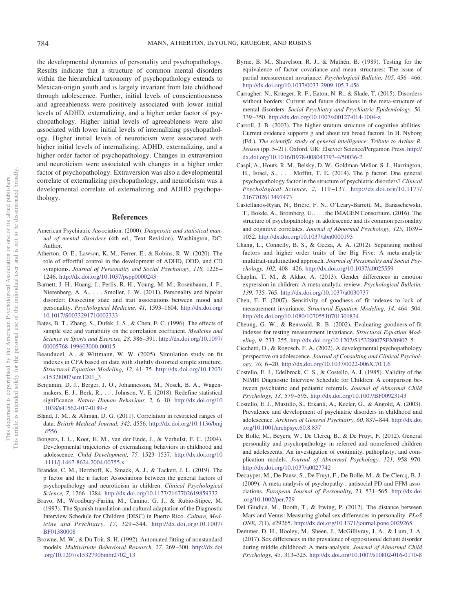the developmental dynamics of personality and psychopathology. Results indicate that a structure of common mental disorders within the hierarchical taxonomy of psychopathology extends to Mexican-origin youth and is largely invariant from late childhood through adolescence. Further, initial levels of conscientiousness and agreeableness were positively associated with lower initial levels of ADHD, externalizing, and a higher order factor of psychopathology. Higher initial levels of agreeableness were also associated with lower initial levels of internalizing psychopathology. Higher initial levels of neuroticism were associated with higher initial levels of internalizing, ADHD, externalizing, and a higher order factor of psychopathology. Changes in extraversion and neuroticism were associated with changes in a higher order factor of psychopathology. Extraversion was also a developmental correlate of externalizing psychopathology, and neuroticism was a developmental correlate of externalizing and ADHD psychopathology.

# **References**

- <span id="page-15-14"></span>American Psychiatric Association. (2000). *Diagnostic and statistical manual of mental disorders* (4th ed., Text Revision). Washington, DC: Author.
- <span id="page-15-9"></span>Atherton, O. E., Lawson, K. M., Ferrer, E., & Robins, R. W. (2020). The role of effortful control in the development of ADHD, ODD, and CD symptoms. *Journal of Personality and Social Psychology, 118,* 1226 – 1246. <http://dx.doi.org/10.1037/pspp0000243>
- <span id="page-15-8"></span>Barnett, J. H., Huang, J., Perlis, R. H., Young, M. M., Rosenbaum, J. F., Nierenberg, A. A., ... Smoller, J. W. (2011). Personality and bipolar disorder: Dissecting state and trait associations between mood and personality. *Psychological Medicine, 41,* 1593–1604. [http://dx.doi.org/](http://dx.doi.org/10.1017/S0033291710002333) [10.1017/S0033291710002333](http://dx.doi.org/10.1017/S0033291710002333)
- <span id="page-15-19"></span>Bates, B. T., Zhang, S., Dufek, J. S., & Chen, F. C. (1996). The effects of sample size and variability on the correlation coefficient. *Medicine and Science in Sports and Exercise, 28,* 386 –391. [http://dx.doi.org/10.1097/](http://dx.doi.org/10.1097/00005768-199603000-00015) [00005768-199603000-00015](http://dx.doi.org/10.1097/00005768-199603000-00015)
- <span id="page-15-18"></span>Beauducel, A., & Wittmann, W. W. (2005). Simulation study on fit indexes in CFA based on data with slightly distorted simple structure. *Structural Equation Modeling, 12,* 41–75. [http://dx.doi.org/10.1207/](http://dx.doi.org/10.1207/s15328007sem1201_3) [s15328007sem1201\\_3](http://dx.doi.org/10.1207/s15328007sem1201_3)
- <span id="page-15-17"></span>Benjamin, D. J., Berger, J. O., Johannesson, M., Nosek, B. A., Wagenmakers, E. J., Berk, R.,... Johnson, V. E. (2018). Redefine statistical significance. *Nature Human Behaviour, 2,* 6 –10. [http://dx.doi.org/10](http://dx.doi.org/10.1038/s41562-017-0189-z) [.1038/s41562-017-0189-z](http://dx.doi.org/10.1038/s41562-017-0189-z)
- <span id="page-15-20"></span>Bland, J. M., & Altman, D. G. (2011). Correlation in restricted ranges of data. *British Medical Journal, 342,* d556. [http://dx.doi.org/10.1136/bmj](http://dx.doi.org/10.1136/bmj.d556) [.d556](http://dx.doi.org/10.1136/bmj.d556)
- <span id="page-15-11"></span>Bongers, I. L., Koot, H. M., van der Ende, J., & Verhulst, F. C. (2004). Developmental trajectories of externalizing behaviors in childhood and adolescence. *Child Development, 75,* 1523–1537. [http://dx.doi.org/10](http://dx.doi.org/10.1111/j.1467-8624.2004.00755.x) [.1111/j.1467-8624.2004.00755.x](http://dx.doi.org/10.1111/j.1467-8624.2004.00755.x)
- <span id="page-15-3"></span>Brandes, C. M., Herzhoff, K., Smack, A. J., & Tackett, J. L. (2019). The p factor and the n factor: Associations between the general factors of psychopathology and neuroticism in children. *Clinical Psychological Science, 7,* 1266 –1284. <http://dx.doi.org/10.1177/2167702619859332>
- <span id="page-15-16"></span>Bravo, M., Woodbury-Fariña, M., Canino, G. J., & Rubio-Stipec, M. (1993). The Spanish translation and cultural adaptation of the Diagnostic Interview Schedule for Children (DISC) in Puerto Rico. *Culture, Medicine and Psychiatry, 17,* 329 –344. [http://dx.doi.org/10.1007/](http://dx.doi.org/10.1007/BF01380008) [BF01380008](http://dx.doi.org/10.1007/BF01380008)
- Browne, M. W., & Du Toit, S. H. (1992). Automated fitting of nonstandard models. *Multivariate Behavioral Research, 27,* 269 –300. [http://dx.doi](http://dx.doi.org/10.1207/s15327906mbr2702_13) [.org/10.1207/s15327906mbr2702\\_13](http://dx.doi.org/10.1207/s15327906mbr2702_13)
- Byrne, B. M., Shavelson, R. J., & Muthén, B. (1989). Testing for the equivalence of factor covariance and mean structures: The issue of partial measurement invariance. *Psychological Bulletin, 105,* 456 – 466. <http://dx.doi.org/10.1037/0033-2909.105.3.456>
- <span id="page-15-0"></span>Carragher, N., Krueger, R. F., Eaton, N. R., & Slade, T. (2015). Disorders without borders: Current and future directions in the meta-structure of mental disorders. *Social Psychiatry and Psychiatric Epidemiology, 50,* 339 –350. <http://dx.doi.org/10.1007/s00127-014-1004-z>
- <span id="page-15-2"></span>Carroll, J. B. (2003). The higher-stratum structure of cognitive abilities: Current evidence supports g and about ten broad factors. In H. Nyborg (Ed.), *The scientific study of general intelligence: Tribute to Arthur R. Jensen* (pp. 5–21). Oxford, UK: Elsevier Science/Pergamon Press. [http://](http://dx.doi.org/10.1016/B978-008043793-4/50036-2) [dx.doi.org/10.1016/B978-008043793-4/50036-2](http://dx.doi.org/10.1016/B978-008043793-4/50036-2)
- <span id="page-15-6"></span>Caspi, A., Houts, R. M., Belsky, D. W., Goldman-Mellor, S. J., Harrington, H., Israel, S.,... Moffitt, T. E. (2014). The p factor: One general psychopathology factor in the structure of psychiatric disorders? *Clinical Psychological Science, 2,* 119 –137. [http://dx.doi.org/10.1177/](http://dx.doi.org/10.1177/2167702613497473) [2167702613497473](http://dx.doi.org/10.1177/2167702613497473)
- <span id="page-15-4"></span>Castellanos-Ryan, N., Brière, F. N., O'Leary-Barrett, M., Banaschewski, T., Bokde, A., Bromberg, U., . . . the IMAGEN Consortium. (2016). The structure of psychopathology in adolescence and its common personality and cognitive correlates. *Journal of Abnormal Psychology, 125,* 1039 – 1052. <http://dx.doi.org/10.1037/abn0000193>
- <span id="page-15-1"></span>Chang, L., Connelly, B. S., & Geeza, A. A. (2012). Separating method factors and higher order traits of the Big Five: A meta-analytic multitrait-multimethod approach. *Journal of Personality and Social Psychology, 102,* 408 – 426. <http://dx.doi.org/10.1037/a0025559>
- <span id="page-15-21"></span>Chaplin, T. M., & Aldao, A. (2013). Gender differences in emotion expression in children: A meta-analytic review. *Psychological Bulletin, 139,* 735–765. <http://dx.doi.org/10.1037/a0030737>
- Chen, F. F. (2007). Sensitivity of goodness of fit indexes to lack of measurement invariance. *Structural Equation Modeling, 14,* 464 –504. <http://dx.doi.org/10.1080/10705510701301834>
- Cheung, G. W., & Rensvold, R. B. (2002). Evaluating goodness-of-fit indexes for testing measurement invariance. *Structural Equation Modeling, 9,* 233–255. [http://dx.doi.org/10.1207/S15328007SEM0902\\_5](http://dx.doi.org/10.1207/S15328007SEM0902_5)
- <span id="page-15-10"></span>Cicchetti, D., & Rogosch, F. A. (2002). A developmental psychopathology perspective on adolescence. *Journal of Consulting and Clinical Psychology, 70,* 6 –20. <http://dx.doi.org/10.1037/0022-006X.70.1.6>
- <span id="page-15-15"></span>Costello, E. J., Edelbrock, C. S., & Costello, A. J. (1985). Validity of the NIMH Diagnostic Interview Schedule for Children: A comparison between psychiatric and pediatric referrals. *Journal of Abnormal Child Psychology, 13,* 579 –595. <http://dx.doi.org/10.1007/BF00923143>
- <span id="page-15-12"></span>Costello, E. J., Mustillo, S., Erkanli, A., Keeler, G., & Angold, A. (2003). Prevalence and development of psychiatric disorders in childhood and adolescence. *Archives of General Psychiatry, 60,* 837– 844. [http://dx.doi](http://dx.doi.org/10.1001/archpsyc.60.8.837) [.org/10.1001/archpsyc.60.8.837](http://dx.doi.org/10.1001/archpsyc.60.8.837)
- <span id="page-15-5"></span>De Bolle, M., Beyers, W., De Clercq, B., & De Fruyt, F. (2012). General personality and psychopathology in referred and nonreferred children and adolescents: An investigation of continuity, pathoplasty, and complication models. *Journal of Abnormal Psychology, 121,* 958 –970. <http://dx.doi.org/10.1037/a0027742>
- <span id="page-15-7"></span>Decuyper, M., De Pauw, S., De Fruyt, F., De Bolle, M., & De Clercq, B. J. (2009). A meta-analysis of psychopathy-, antisocial PD-and FFM associations. *European Journal of Personality, 23,* 531–565. [http://dx.doi](http://dx.doi.org/10.1002/per.729) [.org/10.1002/per.729](http://dx.doi.org/10.1002/per.729)
- <span id="page-15-13"></span>Del Giudice, M., Booth, T., & Irwing, P. (2012). The distance between Mars and Venus: Measuring global sex differences in personality. *PLoS ONE, 7*(1), e29265. <http://dx.doi.org/10.1371/journal.pone.0029265>
- <span id="page-15-22"></span>Demmer, D. H., Hooley, M., Sheen, J., McGillivray, J. A., & Lum, J. A. (2017). Sex differences in the prevalence of oppositional defiant disorder during middle childhood: A meta-analysis. *Journal of Abnormal Child Psychology, 45,* 313–325. <http://dx.doi.org/10.1007/s10802-016-0170-8>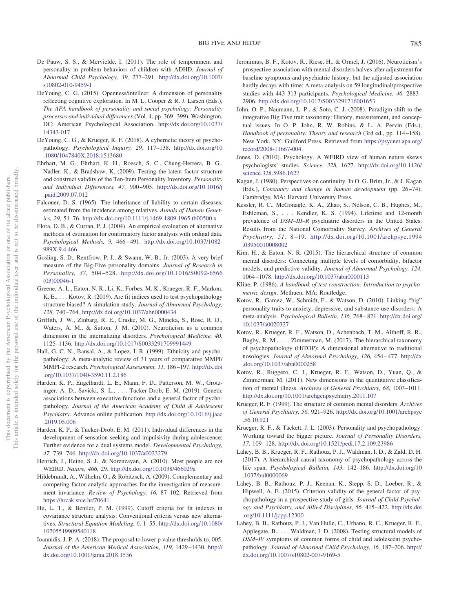- <span id="page-16-12"></span>De Pauw, S. S., & Mervielde, I. (2011). The role of temperament and personality in problem behaviors of children with ADHD. *Journal of Abnormal Child Psychology, 39,* 277–291. [http://dx.doi.org/10.1007/](http://dx.doi.org/10.1007/s10802-010-9459-1) [s10802-010-9459-1](http://dx.doi.org/10.1007/s10802-010-9459-1)
- <span id="page-16-13"></span>DeYoung, C. G. (2015). Openness/intellect: A dimension of personality reflecting cognitive exploration. In M. L. Cooper & R. J. Larsen (Eds.), *The APA handbook of personality and social psychology: Personality processes and individual differences* (Vol. 4, pp. 369 –399). Washington, DC: American Psychological Association. [http://dx.doi.org/10.1037/](http://dx.doi.org/10.1037/14343-017) [14343-017](http://dx.doi.org/10.1037/14343-017)
- <span id="page-16-2"></span>DeYoung, C. G., & Krueger, R. F. (2018). A cybernetic theory of psychopathology. *Psychological Inquiry, 29,* 117–138. [http://dx.doi.org/10](http://dx.doi.org/10.1080/1047840X.2018.1513680) [.1080/1047840X.2018.1513680](http://dx.doi.org/10.1080/1047840X.2018.1513680)
- <span id="page-16-23"></span>Ehrhart, M. G., Ehrhart, K. H., Roesch, S. C., Chung-Herrera, B. G., Nadler, K., & Bradshaw, K. (2009). Testing the latent factor structure and construct validity of the Ten-Item Personality Inventory. *Personality and Individual Differences, 47,* 900 –905. [http://dx.doi.org/10.1016/j](http://dx.doi.org/10.1016/j.paid.2009.07.012) [.paid.2009.07.012](http://dx.doi.org/10.1016/j.paid.2009.07.012)
- <span id="page-16-25"></span>Falconer, D. S. (1965). The inheritance of liability to certain diseases, estimated from the incidence among relatives. *Annals of Human Genetics, 29,* 51–76. <http://dx.doi.org/10.1111/j.1469-1809.1965.tb00500.x>
- <span id="page-16-26"></span>Flora, D. B., & Curran, P. J. (2004). An empirical evaluation of alternative methods of estimation for confirmatory factor analysis with ordinal data. *Psychological Methods, 9,* 466 – 491. [http://dx.doi.org/10.1037/1082-](http://dx.doi.org/10.1037/1082-989X.9.4.466) [989X.9.4.466](http://dx.doi.org/10.1037/1082-989X.9.4.466)
- <span id="page-16-22"></span>Gosling, S. D., Rentfrow, P. J., & Swann, W. B., Jr. (2003). A very brief measure of the Big-Five personality domains. *Journal of Research in Personality, 37,* 504 –528. [http://dx.doi.org/10.1016/S0092-6566](http://dx.doi.org/10.1016/S0092-6566%2803%2900046-1) [\(03\)00046-1](http://dx.doi.org/10.1016/S0092-6566%2803%2900046-1)
- <span id="page-16-28"></span>Greene, A. L., Eaton, N. R., Li, K., Forbes, M. K., Krueger, R. F., Markon, K. E., . . . Kotov, R. (2019). Are fit indices used to test psychopathology structure biased? A simulation study. *Journal of Abnormal Psychology, 128,* 740 –764. <http://dx.doi.org/10.1037/abn0000434>
- <span id="page-16-14"></span>Griffith, J. W., Zinbarg, R. E., Craske, M. G., Mineka, S., Rose, R. D., Waters, A. M., & Sutton, J. M. (2010). Neuroticism as a common dimension in the internalizing disorders. *Psychological Medicine, 40,* 1125–1136. <http://dx.doi.org/10.1017/S0033291709991449>
- <span id="page-16-19"></span>Hall, G. C. N., Bansal, A., & Lopez, I. R. (1999). Ethnicity and psychopathology: A meta-analytic review of 31 years of comparative MMPI/ MMPI-2 research. *Psychological Assessment, 11,* 186 –197. [http://dx.doi](http://dx.doi.org/10.1037/1040-3590.11.2.186) [.org/10.1037/1040-3590.11.2.186](http://dx.doi.org/10.1037/1040-3590.11.2.186)
- <span id="page-16-4"></span>Harden, K. P., Engelhardt, L. E., Mann, F. D., Patterson, M. W., Grotzinger, A. D., Savicki, S. L.,... Tucker-Drob, E. M. (2019). Genetic associations between executive functions and a general factor of pychopathology. *Journal of the American Academy of Child & Adolescent Psychiatry*. Advance online publication. [http://dx.doi.org/10.1016/j.jaac](http://dx.doi.org/10.1016/j.jaac.2019.05.006) [.2019.05.006](http://dx.doi.org/10.1016/j.jaac.2019.05.006)
- <span id="page-16-15"></span>Harden, K. P., & Tucker-Drob, E. M. (2011). Individual differences in the development of sensation seeking and impulsivity during adolescence: Further evidence for a dual systems model. *Developmental Psychology, 47,* 739 –746. <http://dx.doi.org/10.1037/a0023279>
- <span id="page-16-17"></span>Henrich, J., Heine, S. J., & Norenzayan, A. (2010). Most people are not WEIRD. *Nature, 466,* 29. <http://dx.doi.org/10.1038/466029a>
- Hildebrandt, A., Wilhelm, O., & Robitzsch, A. (2009). Complementary and competing factor analytic approaches for the investigation of measurement invariance. *Review of Psychology, 16,* 87–102. Retrieved from <https://hrcak.srce.hr/70641>
- <span id="page-16-29"></span>Hu, L. T., & Bentler, P. M. (1999). Cutoff criteria for fit indexes in covariance structure analysis: Conventional criteria versus new alternatives. *Structural Equation Modeling, 6,* 1–55. [http://dx.doi.org/10.1080/](http://dx.doi.org/10.1080/10705519909540118) [10705519909540118](http://dx.doi.org/10.1080/10705519909540118)
- <span id="page-16-27"></span>Ioannidis, J. P. A. (2018). The proposal to lower p value thresholds to. 005. *Journal of the American Medical Association, 319,* 1429 –1430. [http://](http://dx.doi.org/10.1001/jama.2018.1536) [dx.doi.org/10.1001/jama.2018.1536](http://dx.doi.org/10.1001/jama.2018.1536)
- <span id="page-16-16"></span>Jeronimus, B. F., Kotov, R., Riese, H., & Ormel, J. (2016). Neuroticism's prospective association with mental disorders halves after adjustment for baseline symptoms and psychiatric history, but the adjusted association hardly decays with time: A meta-analysis on 59 longitudinal/prospective studies with 443 313 participants. *Psychological Medicine, 46,* 2883– 2906. <http://dx.doi.org/10.1017/S0033291716001653>
- <span id="page-16-10"></span>John, O. P., Naumann, L. P., & Soto, C. J. (2008). Paradigm shift to the integrative Big Five trait taxonomy: History, measurement, and conceptual issues. In O. P. John, R. W. Robins, & L. A. Pervin (Eds.), *Handbook of personality: Theory and research* (3rd ed., pp. 114-158). New York, NY: Guilford Press. Retrieved from [https://psycnet.apa.org/](https://psycnet.apa.org/record/2008-11667-004) [record/2008-11667-004](https://psycnet.apa.org/record/2008-11667-004)
- <span id="page-16-18"></span>Jones, D. (2010). Psychology. A WEIRD view of human nature skews psychologists' studies. *Science, 328,* 1627. [http://dx.doi.org/10.1126/](http://dx.doi.org/10.1126/science.328.5986.1627) [science.328.5986.1627](http://dx.doi.org/10.1126/science.328.5986.1627)
- <span id="page-16-20"></span>Kagan, J. (1980). Perspectives on continuity. In O. G. Brim, Jr., & J. Kagan (Eds.), *Constancy and change in human development* (pp. 26-74). Cambridge, MA: Harvard University Press.
- <span id="page-16-21"></span>Kessler, R. C., McGonagle, K. A., Zhao, S., Nelson, C. B., Hughes, M., Eshleman, S.,... Kendler, K. S. (1994). Lifetime and 12-month prevalence of *DSM–III–R* psychiatric disorders in the United States. Results from the National Comorbidity Survey. *Archives of General Psychiatry, 51,* 8 –19. [http://dx.doi.org/10.1001/archpsyc.1994](http://dx.doi.org/10.1001/archpsyc.1994.03950010008002) [.03950010008002](http://dx.doi.org/10.1001/archpsyc.1994.03950010008002)
- <span id="page-16-1"></span>Kim, H., & Eaton, N. R. (2015). The hierarchical structure of common mental disorders: Connecting multiple levels of comorbidity, bifactor models, and predictive validity. *Journal of Abnormal Psychology, 124,* 1064 –1078. <http://dx.doi.org/10.1037/abn0000113>
- <span id="page-16-24"></span>Kline, P. (1986). *A handbook of test construction: Introduction to psychometric design*. Methuen, MA: Routledge.
- <span id="page-16-11"></span>Kotov, R., Gamez, W., Schmidt, F., & Watson, D. (2010). Linking "big" personality traits to anxiety, depressive, and substance use disorders: A meta-analysis. *Psychological Bulletin, 136,* 768 – 821. [http://dx.doi.org/](http://dx.doi.org/10.1037/a0020327) [10.1037/a0020327](http://dx.doi.org/10.1037/a0020327)
- <span id="page-16-3"></span>Kotov, R., Krueger, R. F., Watson, D., Achenbach, T. M., Althoff, R. R., Bagby, R. M.,... Zimmerman, M. (2017). The hierarchical taxonomy of psychopathology (HiTOP): A dimensional alternative to traditional nosologies. *Journal of Abnormal Psychology, 126,* 454 – 477. [http://dx](http://dx.doi.org/10.1037/abn0000258) [.doi.org/10.1037/abn0000258](http://dx.doi.org/10.1037/abn0000258)
- <span id="page-16-8"></span>Kotov, R., Ruggero, C. J., Krueger, R. F., Watson, D., Yuan, Q., & Zimmerman, M. (2011). New dimensions in the quantitative classification of mental illness. *Archives of General Psychiatry, 68,* 1003–1011. <http://dx.doi.org/10.1001/archgenpsychiatry.2011.107>
- <span id="page-16-6"></span>Krueger, R. F. (1999). The structure of common mental disorders. *Archives of General Psychiatry, 56,* 921–926. [http://dx.doi.org/10.1001/archpsyc](http://dx.doi.org/10.1001/archpsyc.56.10.921) [.56.10.921](http://dx.doi.org/10.1001/archpsyc.56.10.921)
- <span id="page-16-9"></span>Krueger, R. F., & Tackett, J. L. (2003). Personality and psychopathology: Working toward the bigger picture. *Journal of Personality Disorders, 17,* 109 –128. <http://dx.doi.org/10.1521/pedi.17.2.109.23986>
- <span id="page-16-0"></span>Lahey, B. B., Krueger, R. F., Rathouz, P. J., Waldman, I. D., & Zald, D. H. (2017). A hierarchical causal taxonomy of psychopathology across the life span. *Psychological Bulletin, 143,* 142–186. [http://dx.doi.org/10](http://dx.doi.org/10.1037/bul0000069) [.1037/bul0000069](http://dx.doi.org/10.1037/bul0000069)
- <span id="page-16-5"></span>Lahey, B. B., Rathouz, P. J., Keenan, K., Stepp, S. D., Loeber, R., & Hipwell, A. E. (2015). Criterion validity of the general factor of psychopathology in a prospective study of girls. *Journal of Child Psychology and Psychiatry, and Allied Disciplines, 56,* 415– 422. [http://dx.doi](http://dx.doi.org/10.1111/jcpp.12300) [.org/10.1111/jcpp.12300](http://dx.doi.org/10.1111/jcpp.12300)
- <span id="page-16-7"></span>Lahey, B. B., Rathouz, P. J., Van Hulle, C., Urbano, R. C., Krueger, R. F., Applegate, B.,... Waldman, I. D. (2008). Testing structural models of *DSM–IV* symptoms of common forms of child and adolescent psychopathology. *Journal of Abnormal Child Psychology, 36,* 187–206. [http://](http://dx.doi.org/10.1007/s10802-007-9169-5) [dx.doi.org/10.1007/s10802-007-9169-5](http://dx.doi.org/10.1007/s10802-007-9169-5)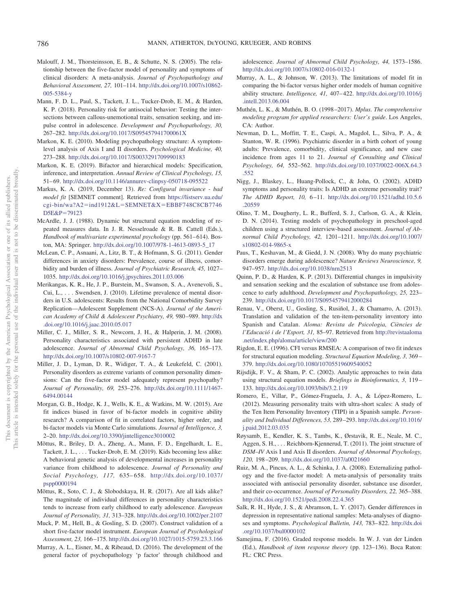- <span id="page-17-5"></span>Malouff, J. M., Thorsteinsson, E. B., & Schutte, N. S. (2005). The relationship between the five-factor model of personality and symptoms of clinical disorders: A meta-analysis. *Journal of Psychopathology and Behavioral Assessment, 27,* 101–114. [http://dx.doi.org/10.1007/s10862-](http://dx.doi.org/10.1007/s10862-005-5384-y) [005-5384-y](http://dx.doi.org/10.1007/s10862-005-5384-y)
- <span id="page-17-9"></span>Mann, F. D. L., Paul, S., Tackett, J. L., Tucker-Drob, E. M., & Harden, K. P. (2018). Personality risk for antisocial behavior: Testing the intersections between callous-unemotional traits, sensation seeking, and impulse control in adolescence. *Development and Psychopathology, 30,* 267–282. <http://dx.doi.org/10.1017/S095457941700061X>
- <span id="page-17-2"></span>Markon, K. E. (2010). Modeling psychopathology structure: A symptomlevel analysis of Axis I and II disorders. *Psychological Medicine, 40,* 273–288. <http://dx.doi.org/10.1017/S0033291709990183>
- <span id="page-17-20"></span>Markon, K. E. (2019). Bifactor and hierarchical models: Specification, inference, and interpretation. *Annual Review of Clinical Psychology, 15,* 51– 69. <http://dx.doi.org/10.1146/annurev-clinpsy-050718-095522>
- Markus, K. A. (2019, December 13). *Re: Configural invariance bad model fit* [SEMNET comment]. Retrieved from [https://listserv.ua.edu/](https://listserv.ua.edu/cgi-bin/wa?A2=ind1912&L=SEMNET&X=EBBF748C8CB7746D5E&P=79123) cgi-bin/wa?A2=ind1912&L=SEMNET&X=[EBBF748C8CB7746](https://listserv.ua.edu/cgi-bin/wa?A2=ind1912&L=SEMNET&X=EBBF748C8CB7746D5E&P=79123) [D5E&P](https://listserv.ua.edu/cgi-bin/wa?A2=ind1912&L=SEMNET&X=EBBF748C8CB7746D5E&P=79123)=79123
- <span id="page-17-24"></span>McArdle, J. J. (1988). Dynamic but structural equation modeling of repeated measures data. In J. R. Nesselroade & R. B. Cattell (Eds.), Handbook of multivariate experimental psychology (pp. 561-614). Boston, MA: Springer. [http://dx.doi.org/10.1007/978-1-4613-0893-5\\_17](http://dx.doi.org/10.1007/978-1-4613-0893-5_17)
- <span id="page-17-12"></span>McLean, C. P., Asnaani, A., Litz, B. T., & Hofmann, S. G. (2011). Gender differences in anxiety disorders: Prevalence, course of illness, comorbidity and burden of illness. *Journal of Psychiatric Research, 45,* 1027– 1035. <http://dx.doi.org/10.1016/j.jpsychires.2011.03.006>
- <span id="page-17-25"></span>Merikangas, K. R., He, J. P., Burstein, M., Swanson, S. A., Avenevoli, S., Cui, L.,... Swendsen, J. (2010). Lifetime prevalence of mental disorders in U.S. adolescents: Results from the National Comorbidity Survey Replication—Adolescent Supplement (NCS-A). *Journal of the American Academy of Child & Adolescent Psychiatry, 49,* 980 –989. [http://dx](http://dx.doi.org/10.1016/j.jaac.2010.05.017) [.doi.org/10.1016/j.jaac.2010.05.017](http://dx.doi.org/10.1016/j.jaac.2010.05.017)
- <span id="page-17-7"></span>Miller, C. J., Miller, S. R., Newcorn, J. H., & Halperin, J. M. (2008). Personality characteristics associated with persistent ADHD in late adolescence. *Journal of Abnormal Child Psychology, 36,* 165–173. <http://dx.doi.org/10.1007/s10802-007-9167-7>
- <span id="page-17-4"></span>Miller, J. D., Lyman, D. R., Widiger, T. A., & Leukefeld, C. (2001). Personality disorders as extreme variants of common personality dimensions: Can the five-factor model adequately represent psychopathy? *Journal of Personality, 69,* 253–276. [http://dx.doi.org/10.1111/1467-](http://dx.doi.org/10.1111/1467-6494.00144) [6494.00144](http://dx.doi.org/10.1111/1467-6494.00144)
- <span id="page-17-22"></span>Morgan, G. B., Hodge, K. J., Wells, K. E., & Watkins, M. W. (2015). Are fit indices biased in favor of bi-factor models in cognitive ability research? A comparison of fit in correlated factors, higher order, and bi-factor models via Monte Carlo simulations. *Journal of Intelligence, 3,* 2–20. <http://dx.doi.org/10.3390/jintelligence3010002>
- <span id="page-17-26"></span>Mõttus, R., Briley, D. A., Zheng, A., Mann, F. D., Engelhardt, L. E., Tackett, J. L.,... Tucker-Drob, E. M. (2019). Kids becoming less alike: A behavioral genetic analysis of developmental increases in personality variance from childhood to adolescence. *Journal of Personality and Social Psychology, 117,* 635– 658. [http://dx.doi.org/10.1037/](http://dx.doi.org/10.1037/pspp0000194) [pspp0000194](http://dx.doi.org/10.1037/pspp0000194)
- <span id="page-17-27"></span>Mõttus, R., Soto, C. J., & Slobodskaya, H. R. (2017). Are all kids alike? The magnitude of individual differences in personality characteristics tends to increase from early childhood to early adolescence. *European Journal of Personality, 31,* 313–328. <http://dx.doi.org/10.1002/per.2107>
- <span id="page-17-15"></span>Muck, P. M., Hell, B., & Gosling, S. D. (2007). Construct validation of a short five-factor model instrument. *European Journal of Psychological Assessment, 23,* 166 –175. <http://dx.doi.org/10.1027/1015-5759.23.3.166>
- <span id="page-17-1"></span>Murray, A. L., Eisner, M., & Ribeaud, D. (2016). The development of the general factor of psychopathology 'p factor' through childhood and

adolescence. *Journal of Abnormal Child Psychology, 44,* 1573–1586. <http://dx.doi.org/10.1007/s10802-016-0132-1>

- <span id="page-17-21"></span>Murray, A. L., & Johnson, W. (2013). The limitations of model fit in comparing the bi-factor versus higher order models of human cognitive ability structure. *Intelligence*, 41, 407-422. [http://dx.doi.org/10.1016/j](http://dx.doi.org/10.1016/j.intell.2013.06.004) [.intell.2013.06.004](http://dx.doi.org/10.1016/j.intell.2013.06.004)
- <span id="page-17-18"></span>Muthén, L. K., & Muthén, B. O. (1998 –2017). *Mplus. The comprehensive modeling program for applied researchers: User's guide*. Los Angeles, CA: Author.
- <span id="page-17-13"></span>Newman, D. L., Moffitt, T. E., Caspi, A., Magdol, L., Silva, P. A., & Stanton, W. R. (1996). Psychiatric disorder in a birth cohort of young adults: Prevalence, comorbidity, clinical significance, and new case incidence from ages 11 to 21. *Journal of Consulting and Clinical Psychology, 64,* 552–562. [http://dx.doi.org/10.1037/0022-006X.64.3](http://dx.doi.org/10.1037/0022-006X.64.3.552) [.552](http://dx.doi.org/10.1037/0022-006X.64.3.552)
- <span id="page-17-8"></span>Nigg, J., Blaskey, L., Huang-Pollock, C., & John, O. (2002). ADHD symptoms and personality traits: Is ADHD an extreme personality trait? *The ADHD Report, 10,* 6 –11. [http://dx.doi.org/10.1521/adhd.10.5.6](http://dx.doi.org/10.1521/adhd.10.5.6.20559) [.20559](http://dx.doi.org/10.1521/adhd.10.5.6.20559)
- <span id="page-17-0"></span>Olino, T. M., Dougherty, L. R., Bufferd, S. J., Carlson, G. A., & Klein, D. N. (2014). Testing models of psychopathology in preschool-aged children using a structured interview-based assessment. *Journal of Abnormal Child Psychology, 42,* 1201–1211. [http://dx.doi.org/10.1007/](http://dx.doi.org/10.1007/s10802-014-9865-x) [s10802-014-9865-x](http://dx.doi.org/10.1007/s10802-014-9865-x)
- <span id="page-17-11"></span>Paus, T., Keshavan, M., & Giedd, J. N. (2008). Why do many psychiatric disorders emerge during adolescence? *Nature Reviews Neuroscience, 9,* 947–957. <http://dx.doi.org/10.1038/nrn2513>
- <span id="page-17-10"></span>Quinn, P. D., & Harden, K. P. (2013). Differential changes in impulsivity and sensation seeking and the escalation of substance use from adolescence to early adulthood. *Development and Psychopathology, 25,* 223– 239. <http://dx.doi.org/10.1017/S0954579412000284>
- <span id="page-17-16"></span>Renau, V., Oberst, U., Gosling, S., Rusiñol, J., & Chamarro, A. (2013). Translation and validation of the ten-item-personality inventory into Spanish and Catalan. *Aloma: Revista de Psicologia, Ciències de l'Educació i de l'Esport, 31,* 85–97. Retrieved from [http://revistaaloma](http://revistaaloma.net/index.php/aloma/article/view/200) [.net/index.php/aloma/article/view/200](http://revistaaloma.net/index.php/aloma/article/view/200)
- <span id="page-17-23"></span>Rigdon, E. E. (1996). CFI versus RMSEA: A comparison of two fit indexes for structural equation modeling. *Structural Equation Modeling, 3,* 369 – 379. <http://dx.doi.org/10.1080/10705519609540052>
- <span id="page-17-19"></span>Rijsdijk, F. V., & Sham, P. C. (2002). Analytic approaches to twin data using structural equation models. *Briefings in Bioinformatics, 3,* 119 – 133. <http://dx.doi.org/10.1093/bib/3.2.119>
- <span id="page-17-17"></span>Romero, E., Villar, P., Gómez-Fraguela, J. A., & López-Romero, L. (2012). Measuring personality traits with ultra-short scales: A study of the Ten Item Personality Inventory (TIPI) in a Spanish sample. *Personality and Individual Differences, 53,* 289 –293. [http://dx.doi.org/10.1016/](http://dx.doi.org/10.1016/j.paid.2012.03.035) [j.paid.2012.03.035](http://dx.doi.org/10.1016/j.paid.2012.03.035)
- <span id="page-17-3"></span>Røysamb, E., Kendler, K. S., Tambs, K., Ørstavik, R. E., Neale, M. C., Aggen, S. H., ... Reichborn-Kjennerud, T. (2011). The joint structure of *DSM–IV* Axis I and Axis II disorders. *Journal of Abnormal Psychology, 120,* 198 –209. <http://dx.doi.org/10.1037/a0021660>
- <span id="page-17-6"></span>Ruiz, M. A., Pincus, A. L., & Schinka, J. A. (2008). Externalizing pathology and the five-factor model: A meta-analysis of personality traits associated with antisocial personality disorder, substance use disorder, and their co-occurrence. *Journal of Personality Disorders, 22,* 365–388. <http://dx.doi.org/10.1521/pedi.2008.22.4.365>
- <span id="page-17-14"></span>Salk, R. H., Hyde, J. S., & Abramson, L. Y. (2017). Gender differences in depression in representative national samples: Meta-analyses of diagnoses and symptoms. *Psychological Bulletin, 143,* 783– 822. [http://dx.doi](http://dx.doi.org/10.1037/bul0000102) [.org/10.1037/bul0000102](http://dx.doi.org/10.1037/bul0000102)
- Samejima, F. (2016). Graded response models. In W. J. van der Linden (Ed.), *Handbook of item response theory* (pp. 123–136). Boca Raton: FL: CRC Press.